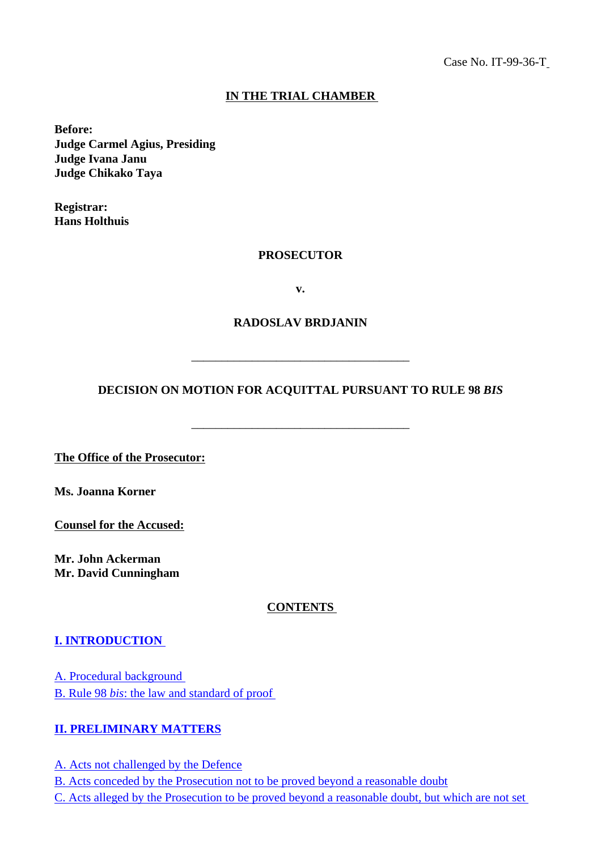### **IN THE TRIAL CHAMBER**

**Before: Judge Carmel Agius, Presiding Judge Ivana Janu Judge Chikako Taya** 

**Registrar: Hans Holthuis** 

#### **PROSECUTOR**

**v.**

#### **RADOSLAV BRDJANIN**

#### **DECISION ON MOTION FOR ACQUITTAL PURSUANT TO RULE 98** *BIS*

\_\_\_\_\_\_\_\_\_\_\_\_\_\_\_\_\_\_\_\_\_\_\_\_\_\_\_\_\_\_\_\_\_\_\_\_

\_\_\_\_\_\_\_\_\_\_\_\_\_\_\_\_\_\_\_\_\_\_\_\_\_\_\_\_\_\_\_\_\_\_\_\_

**The Office of the Prosecutor:**

**Ms. Joanna Korner** 

**Counsel for the Accused:** 

**Mr. John Ackerman Mr. David Cunningham** 

#### **CONTENTS**

#### **[I. INTRODUCTION](#page-2-0)**

[A. Procedural background](#page-2-1) B. Rule 98 *bis*[: the law and standard of proof](#page-2-2) 

#### **[II. PRELIMINARY MATTERS](#page-3-0)**

[A. Acts not challenged by the Defence](#page-3-1) [B. Acts conceded by the Prosecution not to be proved beyond a reasonable doubt](#page-3-2) [C. Acts alleged by the Prosecution to be proved beyond a reasonable doubt, but which are not set](#page-8-0)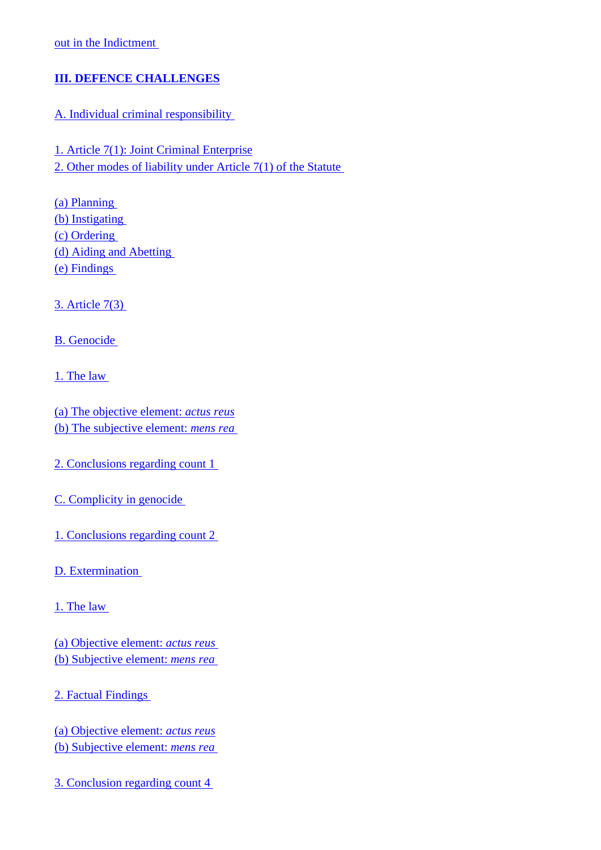## **[III. DEFENCE CHALLENGES](#page-9-0)**

### [A. Individual criminal responsibility](#page-9-1)

[1. Article 7\(1\): Joint Criminal Enterprise](#page-9-2) [2. Other modes of liability under Article 7\(1\) of the Statute](#page-11-0) 

[\(a\) Planning](#page-11-1)  [\(b\) Instigating](#page-11-2) [\(c\) Ordering](#page-12-0)  [\(d\) Aiding and Abetting](#page-12-1)  [\(e\) Findings](#page-12-2)

[3. Article 7\(3\)](#page-12-3)

[B. Genocide](#page-13-0) 

[1. The law](#page-14-0) 

[\(a\) The objective element:](#page-14-1) *actus reus* [\(b\) The subjective element:](#page-15-0) *mens rea*

[2. Conclusions regarding count 1](#page-15-1) 

[C. Complicity in genocide](#page-16-0) 

[1. Conclusions regarding count 2](#page-17-0) 

[D. Extermination](#page-17-1)

[1. The law](#page-18-0) 

[\(a\) Objective element:](#page-18-1) *actus reus* [\(b\) Subjective element:](#page-17-1) *mens rea*

[2. Factual Findings](#page-19-0)

[\(a\) Objective element:](#page-19-1) *actus reus* [\(b\) Subjective element:](#page-19-2) *mens rea*

[3. Conclusion regarding count 4](#page-20-0)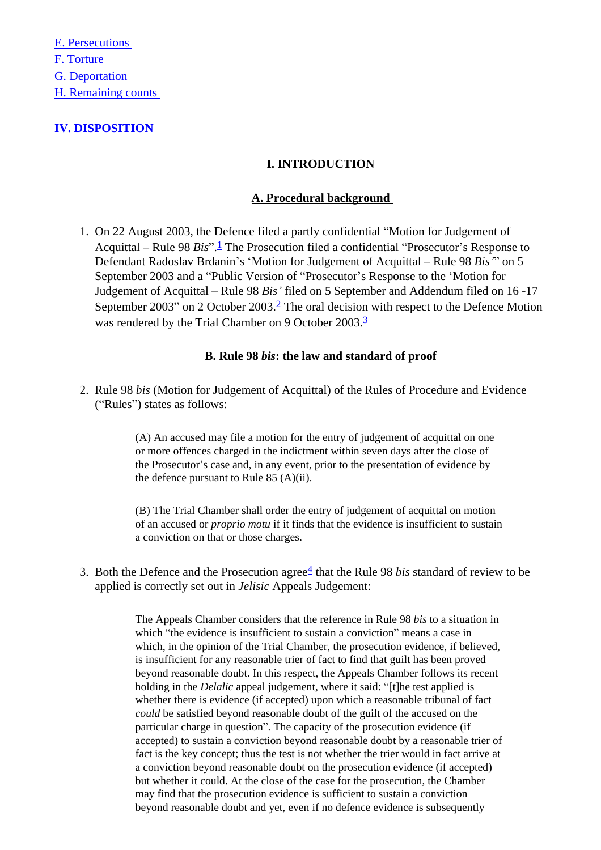[E. Persecutions](#page-20-1)  [F. Torture](#page-21-0) [G. Deportation](#page-22-0)  [H. Remaining counts](#page-23-0) 

## <span id="page-2-1"></span><span id="page-2-0"></span>**[IV. DISPOSITION](#page-12-3)**

### **I. INTRODUCTION**

#### **A. Procedural background**

1. On 22 August 2003, the Defence filed a partly confidential "Motion for Judgement of Acquittal – Rule 98 *Bis*". [1](#page-25-0) The Prosecution filed a confidential "Prosecutor's Response to Defendant Radoslav Brdanin's 'Motion for Judgement of Acquittal – Rule 98 *Bis'*" on 5 September 2003 and a "Public Version of "Prosecutor's Response to the 'Motion for Judgement of Acquittal – Rule 98 *Bis'* filed on 5 September and Addendum filed on 16 -17 September 2003" on 2 October 2003.<sup>2</sup> The oral decision with respect to the Defence Motion was rendered by the Trial Chamber on 9 October 2003.<sup>3</sup>

### **B. Rule 98** *bis***: the law and standard of proof**

<span id="page-2-2"></span>2. Rule 98 *bis* (Motion for Judgement of Acquittal) of the Rules of Procedure and Evidence ("Rules") states as follows:

> (A) An accused may file a motion for the entry of judgement of acquittal on one or more offences charged in the indictment within seven days after the close of the Prosecutor's case and, in any event, prior to the presentation of evidence by the defence pursuant to Rule 85 (A)(ii).

(B) The Trial Chamber shall order the entry of judgement of acquittal on motion of an accused or *proprio motu* if it finds that the evidence is insufficient to sustain a conviction on that or those charges.

3. Both the Defence and the Prosecution agree<sup>[4](#page-25-3)</sup> that the Rule 98 *bis* standard of review to be applied is correctly set out in *Jelisic* Appeals Judgement:

> The Appeals Chamber considers that the reference in Rule 98 *bis* to a situation in which "the evidence is insufficient to sustain a conviction" means a case in which, in the opinion of the Trial Chamber, the prosecution evidence, if believed, is insufficient for any reasonable trier of fact to find that guilt has been proved beyond reasonable doubt. In this respect, the Appeals Chamber follows its recent holding in the *Delalic* appeal judgement, where it said: "[t]he test applied is whether there is evidence (if accepted) upon which a reasonable tribunal of fact *could* be satisfied beyond reasonable doubt of the guilt of the accused on the particular charge in question". The capacity of the prosecution evidence (if accepted) to sustain a conviction beyond reasonable doubt by a reasonable trier of fact is the key concept; thus the test is not whether the trier would in fact arrive at a conviction beyond reasonable doubt on the prosecution evidence (if accepted) but whether it could. At the close of the case for the prosecution, the Chamber may find that the prosecution evidence is sufficient to sustain a conviction beyond reasonable doubt and yet, even if no defence evidence is subsequently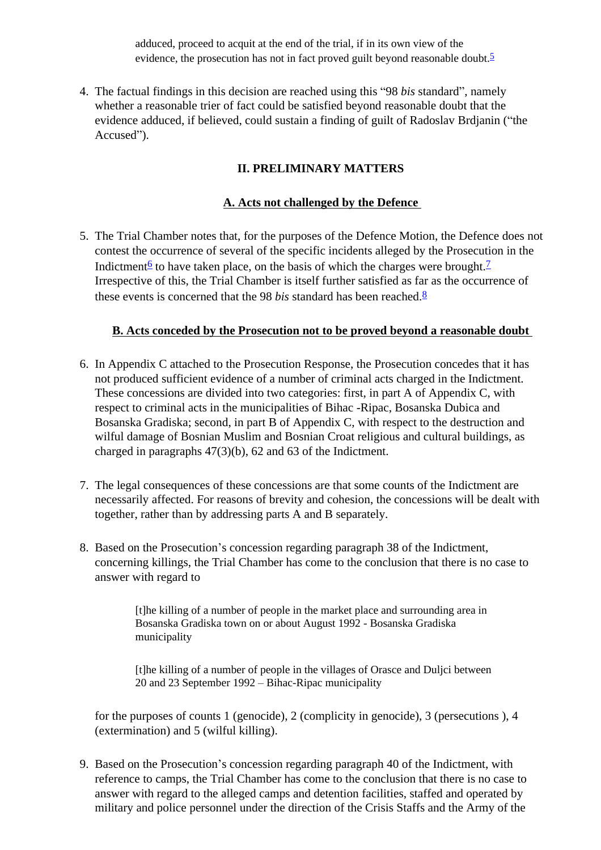adduced, proceed to acquit at the end of the trial, if in its own view of the evidence, the prosecution has not in fact proved guilt beyond reasonable doubt.<sup>[5](#page-25-4)</sup>

4. The factual findings in this decision are reached using this "98 *bis* standard", namely whether a reasonable trier of fact could be satisfied beyond reasonable doubt that the evidence adduced, if believed, could sustain a finding of guilt of Radoslav Brdjanin ("the Accused").

## **II. PRELIMINARY MATTERS**

### **A. Acts not challenged by the Defence**

<span id="page-3-1"></span><span id="page-3-0"></span>5. The Trial Chamber notes that, for the purposes of the Defence Motion, the Defence does not contest the occurrence of several of the specific incidents alleged by the Prosecution in the Indictment<sup>6</sup> to have taken place, on the basis of which the charges were brought.<sup>7</sup> Irrespective of this, the Trial Chamber is itself further satisfied as far as the occurrence of these events is concerned that the 9[8](#page-25-7) *bis* standard has been reached.<sup>8</sup>

### **B. Acts conceded by the Prosecution not to be proved beyond a reasonable doubt**

- <span id="page-3-2"></span>6. In Appendix C attached to the Prosecution Response, the Prosecution concedes that it has not produced sufficient evidence of a number of criminal acts charged in the Indictment. These concessions are divided into two categories: first, in part A of Appendix C, with respect to criminal acts in the municipalities of Bihac -Ripac, Bosanska Dubica and Bosanska Gradiska; second, in part B of Appendix C, with respect to the destruction and wilful damage of Bosnian Muslim and Bosnian Croat religious and cultural buildings, as charged in paragraphs 47(3)(b), 62 and 63 of the Indictment.
- 7. The legal consequences of these concessions are that some counts of the Indictment are necessarily affected. For reasons of brevity and cohesion, the concessions will be dealt with together, rather than by addressing parts A and B separately.
- 8. Based on the Prosecution's concession regarding paragraph 38 of the Indictment, concerning killings, the Trial Chamber has come to the conclusion that there is no case to answer with regard to

[t]he killing of a number of people in the market place and surrounding area in Bosanska Gradiska town on or about August 1992 - Bosanska Gradiska municipality

[t]he killing of a number of people in the villages of Orasce and Duljci between 20 and 23 September 1992 – Bihac-Ripac municipality

for the purposes of counts 1 (genocide), 2 (complicity in genocide), 3 (persecutions ), 4 (extermination) and 5 (wilful killing).

9. Based on the Prosecution's concession regarding paragraph 40 of the Indictment, with reference to camps, the Trial Chamber has come to the conclusion that there is no case to answer with regard to the alleged camps and detention facilities, staffed and operated by military and police personnel under the direction of the Crisis Staffs and the Army of the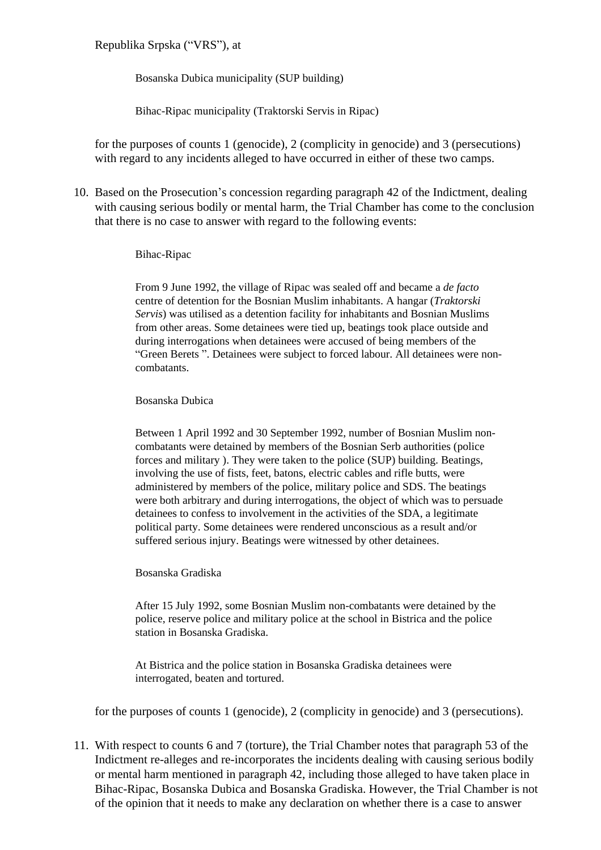### Republika Srpska ("VRS"), at

Bosanska Dubica municipality (SUP building)

Bihac-Ripac municipality (Traktorski Servis in Ripac)

for the purposes of counts 1 (genocide), 2 (complicity in genocide) and 3 (persecutions) with regard to any incidents alleged to have occurred in either of these two camps.

10. Based on the Prosecution's concession regarding paragraph 42 of the Indictment, dealing with causing serious bodily or mental harm, the Trial Chamber has come to the conclusion that there is no case to answer with regard to the following events:

#### Bihac-Ripac

From 9 June 1992, the village of Ripac was sealed off and became a *de facto*  centre of detention for the Bosnian Muslim inhabitants. A hangar (*Traktorski Servis*) was utilised as a detention facility for inhabitants and Bosnian Muslims from other areas. Some detainees were tied up, beatings took place outside and during interrogations when detainees were accused of being members of the "Green Berets ". Detainees were subject to forced labour. All detainees were noncombatants.

#### Bosanska Dubica

Between 1 April 1992 and 30 September 1992, number of Bosnian Muslim noncombatants were detained by members of the Bosnian Serb authorities (police forces and military ). They were taken to the police (SUP) building. Beatings, involving the use of fists, feet, batons, electric cables and rifle butts, were administered by members of the police, military police and SDS. The beatings were both arbitrary and during interrogations, the object of which was to persuade detainees to confess to involvement in the activities of the SDA, a legitimate political party. Some detainees were rendered unconscious as a result and/or suffered serious injury. Beatings were witnessed by other detainees.

#### Bosanska Gradiska

After 15 July 1992, some Bosnian Muslim non-combatants were detained by the police, reserve police and military police at the school in Bistrica and the police station in Bosanska Gradiska.

At Bistrica and the police station in Bosanska Gradiska detainees were interrogated, beaten and tortured.

for the purposes of counts 1 (genocide), 2 (complicity in genocide) and 3 (persecutions).

11. With respect to counts 6 and 7 (torture), the Trial Chamber notes that paragraph 53 of the Indictment re-alleges and re-incorporates the incidents dealing with causing serious bodily or mental harm mentioned in paragraph 42, including those alleged to have taken place in Bihac-Ripac, Bosanska Dubica and Bosanska Gradiska. However, the Trial Chamber is not of the opinion that it needs to make any declaration on whether there is a case to answer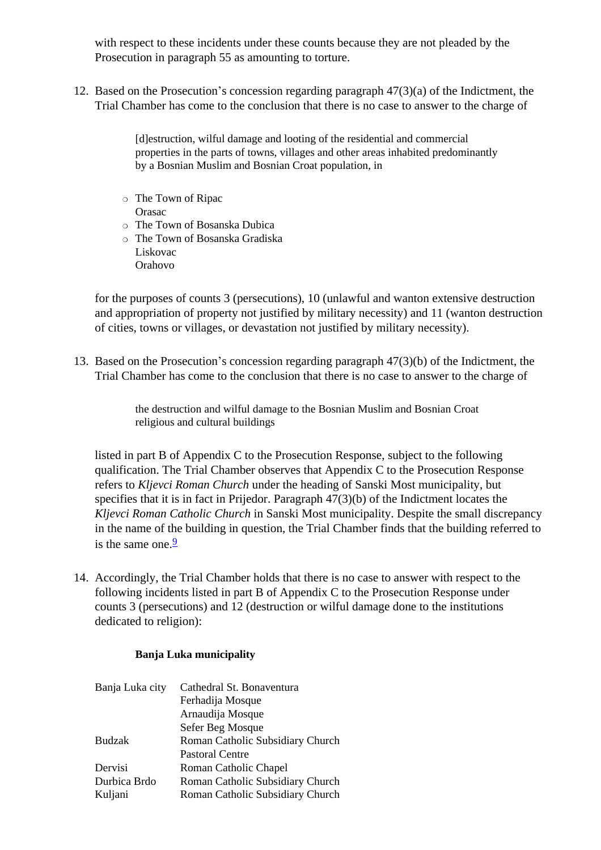with respect to these incidents under these counts because they are not pleaded by the Prosecution in paragraph 55 as amounting to torture.

12. Based on the Prosecution's concession regarding paragraph 47(3)(a) of the Indictment, the Trial Chamber has come to the conclusion that there is no case to answer to the charge of

> [d]estruction, wilful damage and looting of the residential and commercial properties in the parts of towns, villages and other areas inhabited predominantly by a Bosnian Muslim and Bosnian Croat population, in

- ❍ The Town of Ripac Orasac
- ❍ The Town of Bosanska Dubica
- ❍ The Town of Bosanska Gradiska Liskovac
	- Orahovo

for the purposes of counts 3 (persecutions), 10 (unlawful and wanton extensive destruction and appropriation of property not justified by military necessity) and 11 (wanton destruction of cities, towns or villages, or devastation not justified by military necessity).

13. Based on the Prosecution's concession regarding paragraph 47(3)(b) of the Indictment, the Trial Chamber has come to the conclusion that there is no case to answer to the charge of

> the destruction and wilful damage to the Bosnian Muslim and Bosnian Croat religious and cultural buildings

listed in part B of Appendix C to the Prosecution Response, subject to the following qualification. The Trial Chamber observes that Appendix C to the Prosecution Response refers to *Kljevci Roman Church* under the heading of Sanski Most municipality, but specifies that it is in fact in Prijedor. Paragraph 47(3)(b) of the Indictment locates the *Kljevci Roman Catholic Church* in Sanski Most municipality. Despite the small discrepancy in the name of the building in question, the Trial Chamber finds that the building referred to is the same one. $\frac{9}{2}$  $\frac{9}{2}$  $\frac{9}{2}$ 

14. Accordingly, the Trial Chamber holds that there is no case to answer with respect to the following incidents listed in part B of Appendix C to the Prosecution Response under counts 3 (persecutions) and 12 (destruction or wilful damage done to the institutions dedicated to religion):

#### **Banja Luka municipality**

| Banja Luka city | Cathedral St. Bonaventura        |
|-----------------|----------------------------------|
|                 | Ferhadija Mosque                 |
|                 | Arnaudija Mosque                 |
|                 | Sefer Beg Mosque                 |
| <b>Budzak</b>   | Roman Catholic Subsidiary Church |
|                 | <b>Pastoral Centre</b>           |
| Dervisi         | Roman Catholic Chapel            |
| Durbica Brdo    | Roman Catholic Subsidiary Church |
| Kuljani         | Roman Catholic Subsidiary Church |
|                 |                                  |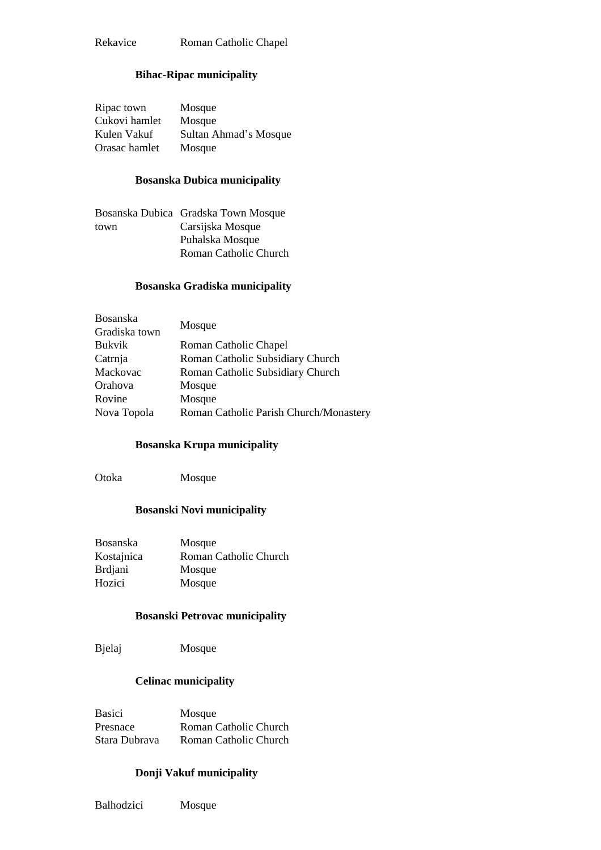#### **Bihac-Ripac municipality**

| Ripac town    | Mosque                |
|---------------|-----------------------|
| Cukovi hamlet | Mosque                |
| Kulen Vakuf   | Sultan Ahmad's Mosque |
| Orasac hamlet | Mosque                |

#### **Bosanska Dubica municipality**

|      | Bosanska Dubica Gradska Town Mosque |
|------|-------------------------------------|
| town | Carsijska Mosque                    |
|      | Puhalska Mosque                     |
|      | Roman Catholic Church               |

#### **Bosanska Gradiska municipality**

| Bosanska      |                                        |
|---------------|----------------------------------------|
| Gradiska town | Mosque                                 |
| <b>Bukvik</b> | Roman Catholic Chapel                  |
| Catrnja       | Roman Catholic Subsidiary Church       |
| Mackovac      | Roman Catholic Subsidiary Church       |
| Orahova       | Mosque                                 |
| Rovine        | Mosque                                 |
| Nova Topola   | Roman Catholic Parish Church/Monastery |
|               |                                        |

#### **Bosanska Krupa municipality**

Otoka Mosque

### **Bosanski Novi municipality**

| Bosanska       | Mosque                |
|----------------|-----------------------|
| Kostajnica     | Roman Catholic Church |
| <b>Brdjani</b> | Mosque                |
| Hozici         | Mosque                |

#### **Bosanski Petrovac municipality**

Bjelaj Mosque

#### **Celinac municipality**

| Basici        | Mosque                |
|---------------|-----------------------|
| Presnace      | Roman Catholic Church |
| Stara Dubrava | Roman Catholic Church |

### **Donji Vakuf municipality**

Balhodzici Mosque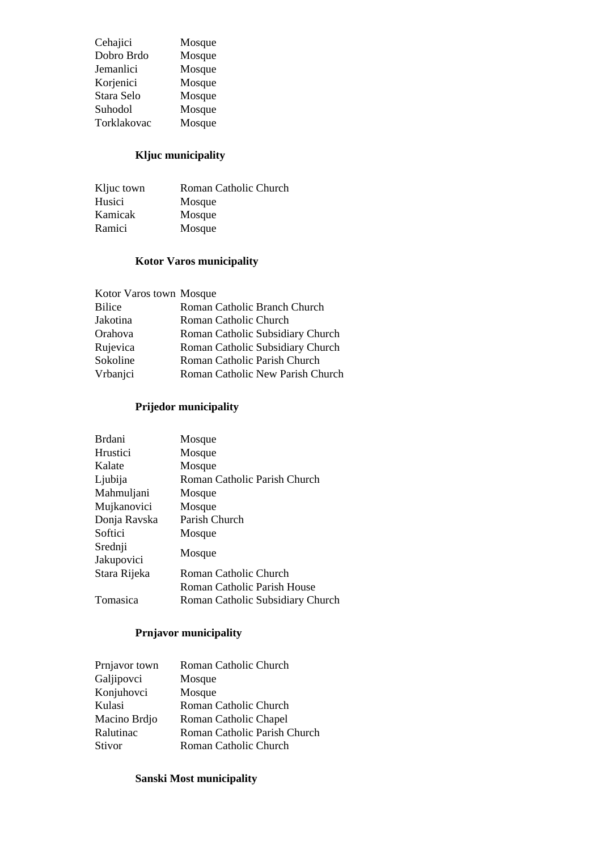| Cehajici    | Mosque |
|-------------|--------|
| Dobro Brdo  | Mosque |
| Jemanlici   | Mosque |
| Korjenici   | Mosque |
| Stara Selo  | Mosque |
| Suhodol     | Mosque |
| Torklakovac | Mosque |

# **Kljuc municipality**

| Roman Catholic Church |
|-----------------------|
| Mosque                |
| Mosque                |
| Mosque                |
|                       |

## **Kotor Varos municipality**

| Kotor Varos town Mosque |                                  |
|-------------------------|----------------------------------|
| Bilice                  | Roman Catholic Branch Church     |
| Jakotina                | Roman Catholic Church            |
| Orahova                 | Roman Catholic Subsidiary Church |
| Rujevica                | Roman Catholic Subsidiary Church |
| Sokoline                | Roman Catholic Parish Church     |
| Vrbanjci                | Roman Catholic New Parish Church |
|                         |                                  |

## **Prijedor municipality**

| <b>Brdani</b> | Mosque                           |
|---------------|----------------------------------|
| Hrustici      | Mosque                           |
| Kalate        | Mosque                           |
| Ljubija       | Roman Catholic Parish Church     |
| Mahmuljani    | Mosque                           |
| Mujkanovici   | Mosque                           |
| Donja Ravska  | Parish Church                    |
| Softici       | Mosque                           |
| Srednji       | Mosque                           |
| Jakupovici    |                                  |
| Stara Rijeka  | Roman Catholic Church            |
|               | Roman Catholic Parish House      |
| Tomasica      | Roman Catholic Subsidiary Church |

## **Prnjavor municipality**

| Roman Catholic Church        |
|------------------------------|
| Mosque                       |
| Mosque                       |
| Roman Catholic Church        |
| Roman Catholic Chapel        |
| Roman Catholic Parish Church |
| Roman Catholic Church        |
|                              |

## **Sanski Most municipality**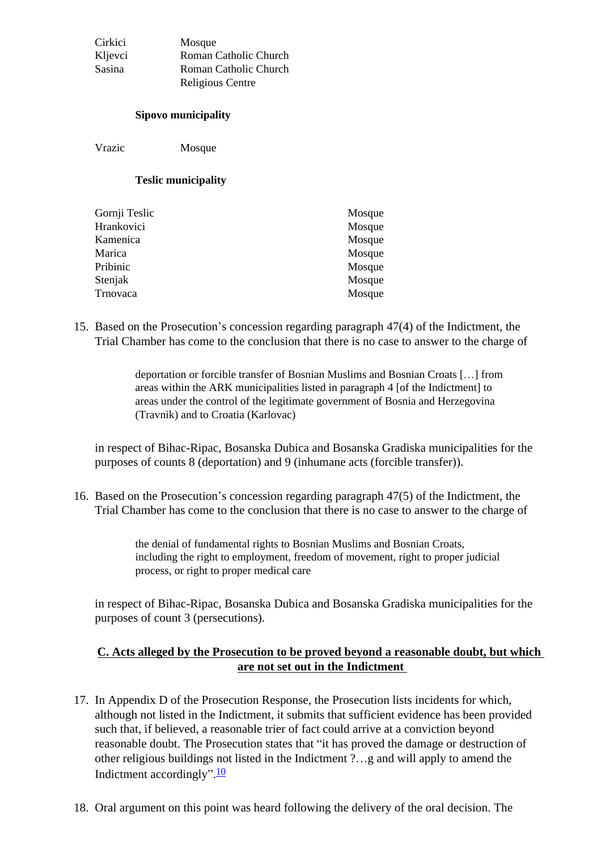| Cirkici       | Mosque                |
|---------------|-----------------------|
| Kljevci       | Roman Catholic Church |
| <b>Sasina</b> | Roman Catholic Church |
|               | Religious Centre      |

#### **Sipovo municipality**

Vrazic Mosque

#### **Teslic municipality**

| Gornji Teslic | Mosque |
|---------------|--------|
| Hrankovici    | Mosque |
| Kamenica      | Mosque |
| Marica        | Mosque |
| Pribinic      | Mosque |
| Stenjak       | Mosque |
| Trnovaca      | Mosque |
|               |        |

15. Based on the Prosecution's concession regarding paragraph 47(4) of the Indictment, the Trial Chamber has come to the conclusion that there is no case to answer to the charge of

> deportation or forcible transfer of Bosnian Muslims and Bosnian Croats […] from areas within the ARK municipalities listed in paragraph 4 [of the Indictment] to areas under the control of the legitimate government of Bosnia and Herzegovina (Travnik) and to Croatia (Karlovac)

in respect of Bihac-Ripac, Bosanska Dubica and Bosanska Gradiska municipalities for the purposes of counts 8 (deportation) and 9 (inhumane acts (forcible transfer)).

16. Based on the Prosecution's concession regarding paragraph 47(5) of the Indictment, the Trial Chamber has come to the conclusion that there is no case to answer to the charge of

> the denial of fundamental rights to Bosnian Muslims and Bosnian Croats, including the right to employment, freedom of movement, right to proper judicial process, or right to proper medical care

in respect of Bihac-Ripac, Bosanska Dubica and Bosanska Gradiska municipalities for the purposes of count 3 (persecutions).

### **C. Acts alleged by the Prosecution to be proved beyond a reasonable doubt, but which are not set out in the Indictment**

- <span id="page-8-0"></span>17. In Appendix D of the Prosecution Response, the Prosecution lists incidents for which, although not listed in the Indictment, it submits that sufficient evidence has been provided such that, if believed, a reasonable trier of fact could arrive at a conviction beyond reasonable doubt. The Prosecution states that "it has proved the damage or destruction of other religious buildings not listed in the Indictment ?…g and will apply to amend the Indictment accordingly".<sup>[10](#page-26-0)</sup>
- 18. Oral argument on this point was heard following the delivery of the oral decision. The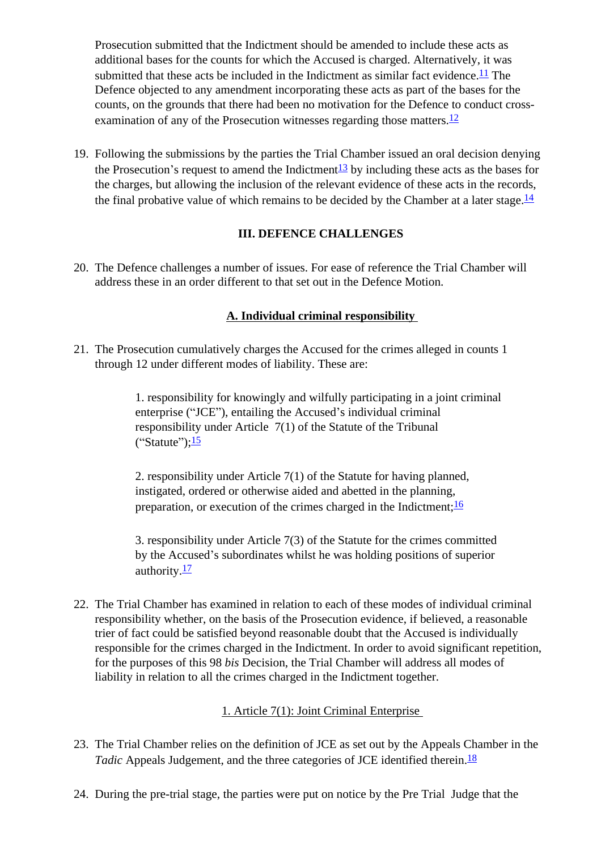Prosecution submitted that the Indictment should be amended to include these acts as additional bases for the counts for which the Accused is charged. Alternatively, it was submitted that these acts be included in the Indictment as similar fact evidence.<sup>11</sup> The Defence objected to any amendment incorporating these acts as part of the bases for the counts, on the grounds that there had been no motivation for the Defence to conduct cross-examination of any of the Prosecution witnesses regarding those matters.<sup>[12](#page-26-2)</sup>

19. Following the submissions by the parties the Trial Chamber issued an oral decision denying the Prosecution's request to amend the Indictment<sup>[13](#page-26-3)</sup> by including these acts as the bases for the charges, but allowing the inclusion of the relevant evidence of these acts in the records, the final probative value of which remains to be decided by the Chamber at a later stage.<sup>[14](#page-26-4)</sup>

### **III. DEFENCE CHALLENGES**

<span id="page-9-0"></span>20. The Defence challenges a number of issues. For ease of reference the Trial Chamber will address these in an order different to that set out in the Defence Motion.

## **A. Individual criminal responsibility**

<span id="page-9-1"></span>21. The Prosecution cumulatively charges the Accused for the crimes alleged in counts 1 through 12 under different modes of liability. These are:

> 1. responsibility for knowingly and wilfully participating in a joint criminal enterprise ("JCE"), entailing the Accused's individual criminal responsibility under Article 7(1) of the Statute of the Tribunal  $("Stature")$ ; $\frac{15}{ }$  $\frac{15}{ }$  $\frac{15}{ }$

2. responsibility under Article 7(1) of the Statute for having planned, instigated, ordered or otherwise aided and abetted in the planning, preparation, or execution of the crimes charged in the Indictment;  $\frac{16}{16}$ 

3. responsibility under Article 7(3) of the Statute for the crimes committed by the Accused's subordinates whilst he was holding positions of superior authority. $\frac{17}{2}$  $\frac{17}{2}$  $\frac{17}{2}$ 

22. The Trial Chamber has examined in relation to each of these modes of individual criminal responsibility whether, on the basis of the Prosecution evidence, if believed, a reasonable trier of fact could be satisfied beyond reasonable doubt that the Accused is individually responsible for the crimes charged in the Indictment. In order to avoid significant repetition, for the purposes of this 98 *bis* Decision, the Trial Chamber will address all modes of liability in relation to all the crimes charged in the Indictment together.

### 1. Article 7(1): Joint Criminal Enterprise

- <span id="page-9-2"></span>23. The Trial Chamber relies on the definition of JCE as set out by the Appeals Chamber in the *Tadic* Appeals Judgement, and the three categories of JCE identified therein.<sup>[18](#page-26-8)</sup>
- 24. During the pre-trial stage, the parties were put on notice by the Pre Trial Judge that the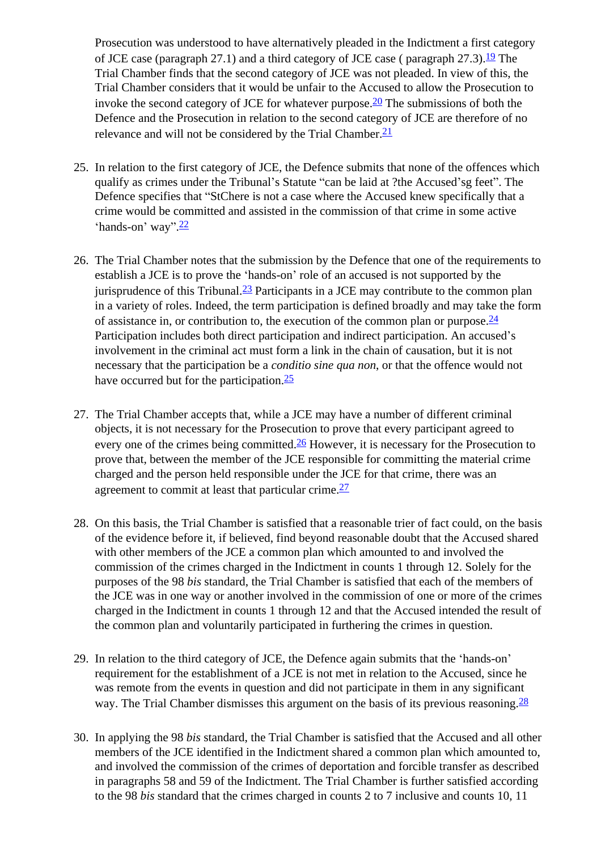Prosecution was understood to have alternatively pleaded in the Indictment a first category of JCE case (paragraph 27.1) and a third category of JCE case ( paragraph  $27.3$ ).<sup>[19](#page-26-9)</sup> The Trial Chamber finds that the second category of JCE was not pleaded. In view of this, the Trial Chamber considers that it would be unfair to the Accused to allow the Prosecution to invoke the second category of JCE for whatever purpose. $\frac{20}{2}$  The submissions of both the Defence and the Prosecution in relation to the second category of JCE are therefore of no relevance and will not be considered by the Trial Chamber. $\frac{21}{2}$  $\frac{21}{2}$  $\frac{21}{2}$ 

- 25. In relation to the first category of JCE, the Defence submits that none of the offences which qualify as crimes under the Tribunal's Statute "can be laid at ?the Accused'sg feet". The Defence specifies that "StChere is not a case where the Accused knew specifically that a crime would be committed and assisted in the commission of that crime in some active 'hands-on' way".<sup>[22](#page-26-12)</sup>
- 26. The Trial Chamber notes that the submission by the Defence that one of the requirements to establish a JCE is to prove the 'hands-on' role of an accused is not supported by the jurisprudence of this Tribunal. $\frac{23}{2}$  Participants in a JCE may contribute to the common plan in a variety of roles. Indeed, the term participation is defined broadly and may take the form of assistance in, or contribution to, the execution of the common plan or purpose.  $\frac{24}{3}$  $\frac{24}{3}$  $\frac{24}{3}$ Participation includes both direct participation and indirect participation. An accused's involvement in the criminal act must form a link in the chain of causation, but it is not necessary that the participation be a *conditio sine qua non*, or that the offence would not have occurred but for the participation.<sup>25</sup>
- 27. The Trial Chamber accepts that, while a JCE may have a number of different criminal objects, it is not necessary for the Prosecution to prove that every participant agreed to every one of the crimes being committed. $\frac{26}{5}$  $\frac{26}{5}$  $\frac{26}{5}$  However, it is necessary for the Prosecution to prove that, between the member of the JCE responsible for committing the material crime charged and the person held responsible under the JCE for that crime, there was an agreement to commit at least that particular crime. $\frac{27}{2}$  $\frac{27}{2}$  $\frac{27}{2}$
- 28. On this basis, the Trial Chamber is satisfied that a reasonable trier of fact could, on the basis of the evidence before it, if believed, find beyond reasonable doubt that the Accused shared with other members of the JCE a common plan which amounted to and involved the commission of the crimes charged in the Indictment in counts 1 through 12. Solely for the purposes of the 98 *bis* standard, the Trial Chamber is satisfied that each of the members of the JCE was in one way or another involved in the commission of one or more of the crimes charged in the Indictment in counts 1 through 12 and that the Accused intended the result of the common plan and voluntarily participated in furthering the crimes in question.
- 29. In relation to the third category of JCE, the Defence again submits that the 'hands-on' requirement for the establishment of a JCE is not met in relation to the Accused, since he was remote from the events in question and did not participate in them in any significant way. The Trial Chamber dismisses this argument on the basis of its previous reasoning.  $\frac{28}{5}$  $\frac{28}{5}$  $\frac{28}{5}$
- 30. In applying the 98 *bis* standard, the Trial Chamber is satisfied that the Accused and all other members of the JCE identified in the Indictment shared a common plan which amounted to, and involved the commission of the crimes of deportation and forcible transfer as described in paragraphs 58 and 59 of the Indictment. The Trial Chamber is further satisfied according to the 98 *bis* standard that the crimes charged in counts 2 to 7 inclusive and counts 10, 11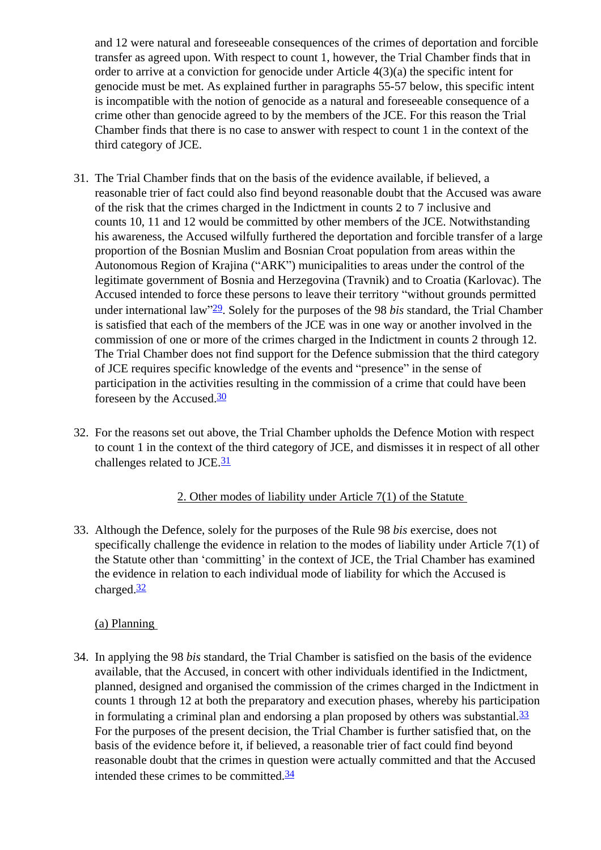and 12 were natural and foreseeable consequences of the crimes of deportation and forcible transfer as agreed upon. With respect to count 1, however, the Trial Chamber finds that in order to arrive at a conviction for genocide under Article 4(3)(a) the specific intent for genocide must be met. As explained further in paragraphs 55-57 below, this specific intent is incompatible with the notion of genocide as a natural and foreseeable consequence of a crime other than genocide agreed to by the members of the JCE. For this reason the Trial Chamber finds that there is no case to answer with respect to count 1 in the context of the third category of JCE.

- 31. The Trial Chamber finds that on the basis of the evidence available, if believed, a reasonable trier of fact could also find beyond reasonable doubt that the Accused was aware of the risk that the crimes charged in the Indictment in counts 2 to 7 inclusive and counts 10, 11 and 12 would be committed by other members of the JCE. Notwithstanding his awareness, the Accused wilfully furthered the deportation and forcible transfer of a large proportion of the Bosnian Muslim and Bosnian Croat population from areas within the Autonomous Region of Krajina ("ARK") municipalities to areas under the control of the legitimate government of Bosnia and Herzegovina (Travnik) and to Croatia (Karlovac). The Accused intended to force these persons to leave their territory "without grounds permitted under international law"[29](#page-27-1). Solely for the purposes of the 98 *bis* standard, the Trial Chamber is satisfied that each of the members of the JCE was in one way or another involved in the commission of one or more of the crimes charged in the Indictment in counts 2 through 12. The Trial Chamber does not find support for the Defence submission that the third category of JCE requires specific knowledge of the events and "presence" in the sense of participation in the activities resulting in the commission of a crime that could have been foreseen by the Accused. $\frac{30}{2}$  $\frac{30}{2}$  $\frac{30}{2}$
- 32. For the reasons set out above, the Trial Chamber upholds the Defence Motion with respect to count 1 in the context of the third category of JCE, and dismisses it in respect of all other challenges related to JCE.<sup>[31](#page-27-3)</sup>

### 2. Other modes of liability under Article 7(1) of the Statute

<span id="page-11-0"></span>33. Although the Defence, solely for the purposes of the Rule 98 *bis* exercise, does not specifically challenge the evidence in relation to the modes of liability under Article 7(1) of the Statute other than 'committing' in the context of JCE, the Trial Chamber has examined the evidence in relation to each individual mode of liability for which the Accused is charged. $\frac{32}{2}$  $\frac{32}{2}$  $\frac{32}{2}$ 

## (a) Planning

<span id="page-11-2"></span><span id="page-11-1"></span>34. In applying the 98 *bis* standard, the Trial Chamber is satisfied on the basis of the evidence available, that the Accused, in concert with other individuals identified in the Indictment, planned, designed and organised the commission of the crimes charged in the Indictment in counts 1 through 12 at both the preparatory and execution phases, whereby his participation in formulating a criminal plan and endorsing a plan proposed by others was substantial.  $\frac{33}{2}$  $\frac{33}{2}$  $\frac{33}{2}$ For the purposes of the present decision, the Trial Chamber is further satisfied that, on the basis of the evidence before it, if believed, a reasonable trier of fact could find beyond reasonable doubt that the crimes in question were actually committed and that the Accused intended these crimes to be committed.[34](#page-27-6)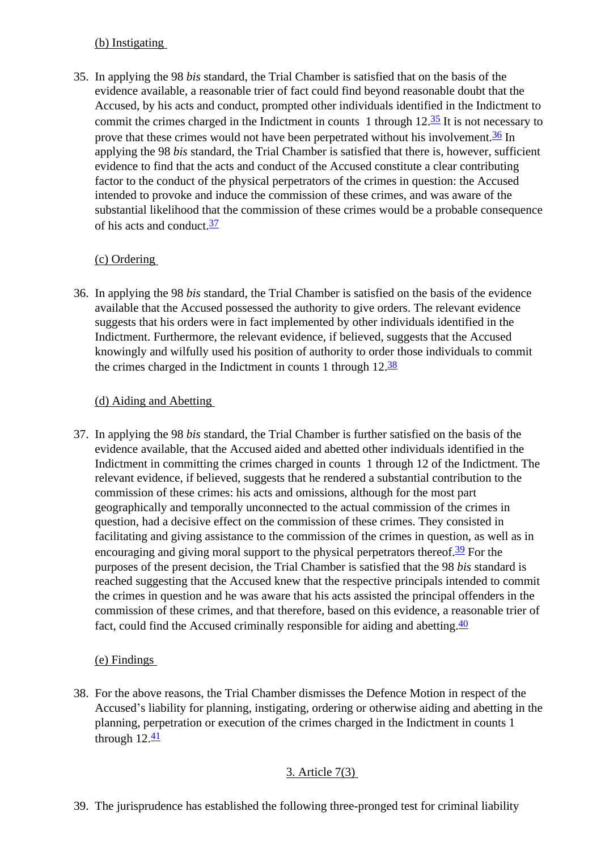### (b) Instigating

35. In applying the 98 *bis* standard, the Trial Chamber is satisfied that on the basis of the evidence available, a reasonable trier of fact could find beyond reasonable doubt that the Accused, by his acts and conduct, prompted other individuals identified in the Indictment to commit the crimes charged in the Indictment in counts 1 through  $12.\overline{35}$  It is not necessary to prove that these crimes would not have been perpetrated without his involvement.<sup>36</sup> In applying the 98 *bis* standard, the Trial Chamber is satisfied that there is, however, sufficient evidence to find that the acts and conduct of the Accused constitute a clear contributing factor to the conduct of the physical perpetrators of the crimes in question: the Accused intended to provoke and induce the commission of these crimes, and was aware of the substantial likelihood that the commission of these crimes would be a probable consequence of his acts and conduct.<sup>[37](#page-27-9)</sup>

## (c) Ordering

<span id="page-12-0"></span>36. In applying the 98 *bis* standard, the Trial Chamber is satisfied on the basis of the evidence available that the Accused possessed the authority to give orders. The relevant evidence suggests that his orders were in fact implemented by other individuals identified in the Indictment. Furthermore, the relevant evidence, if believed, suggests that the Accused knowingly and wilfully used his position of authority to order those individuals to commit the crimes charged in the Indictment in counts 1 through  $12.\overline{38}$  $12.\overline{38}$  $12.\overline{38}$ 

## (d) Aiding and Abetting

<span id="page-12-1"></span>37. In applying the 98 *bis* standard, the Trial Chamber is further satisfied on the basis of the evidence available, that the Accused aided and abetted other individuals identified in the Indictment in committing the crimes charged in counts 1 through 12 of the Indictment. The relevant evidence, if believed, suggests that he rendered a substantial contribution to the commission of these crimes: his acts and omissions, although for the most part geographically and temporally unconnected to the actual commission of the crimes in question, had a decisive effect on the commission of these crimes. They consisted in facilitating and giving assistance to the commission of the crimes in question, as well as in encouraging and giving moral support to the physical perpetrators thereof.<sup>[39](#page-27-11)</sup> For the purposes of the present decision, the Trial Chamber is satisfied that the 98 *bis* standard is reached suggesting that the Accused knew that the respective principals intended to commit the crimes in question and he was aware that his acts assisted the principal offenders in the commission of these crimes, and that therefore, based on this evidence, a reasonable trier of fact, could find the Accused criminally responsible for aiding and abetting. $\frac{40}{5}$  $\frac{40}{5}$  $\frac{40}{5}$ 

## (e) Findings

<span id="page-12-2"></span>38. For the above reasons, the Trial Chamber dismisses the Defence Motion in respect of the Accused's liability for planning, instigating, ordering or otherwise aiding and abetting in the planning, perpetration or execution of the crimes charged in the Indictment in counts 1 through  $12.\overline{41}$ 

## 3. Article 7(3)

<span id="page-12-3"></span>39. The jurisprudence has established the following three-pronged test for criminal liability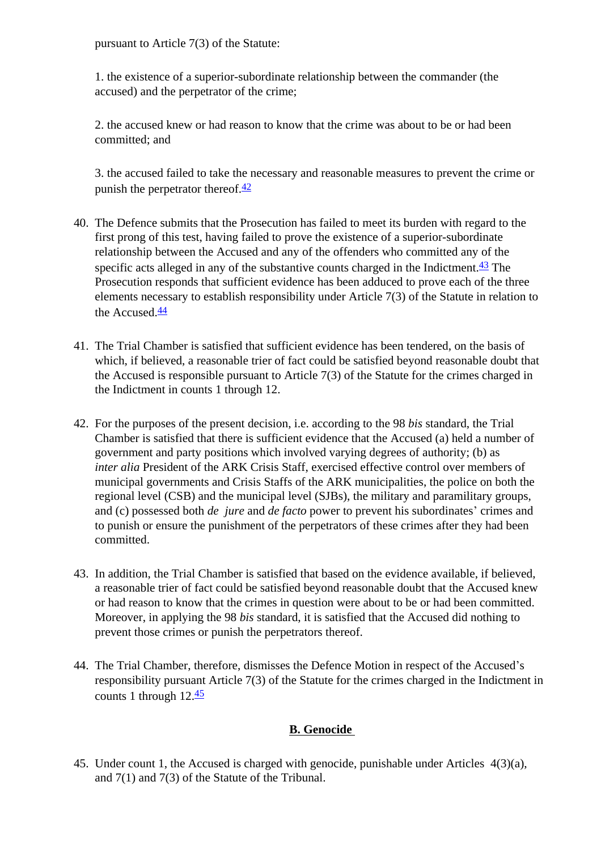pursuant to Article 7(3) of the Statute:

1. the existence of a superior-subordinate relationship between the commander (the accused) and the perpetrator of the crime;

2. the accused knew or had reason to know that the crime was about to be or had been committed; and

3. the accused failed to take the necessary and reasonable measures to prevent the crime or punish the perpetrator thereof. $\frac{42}{5}$ 

- 40. The Defence submits that the Prosecution has failed to meet its burden with regard to the first prong of this test, having failed to prove the existence of a superior-subordinate relationship between the Accused and any of the offenders who committed any of the specific acts alleged in any of the substantive counts charged in the Indictment. $\frac{43}{2}$  The Prosecution responds that sufficient evidence has been adduced to prove each of the three elements necessary to establish responsibility under Article 7(3) of the Statute in relation to the Accused.<sup>[44](#page-27-16)</sup>
- 41. The Trial Chamber is satisfied that sufficient evidence has been tendered, on the basis of which, if believed, a reasonable trier of fact could be satisfied beyond reasonable doubt that the Accused is responsible pursuant to Article 7(3) of the Statute for the crimes charged in the Indictment in counts 1 through 12.
- 42. For the purposes of the present decision, i.e. according to the 98 *bis* standard, the Trial Chamber is satisfied that there is sufficient evidence that the Accused (a) held a number of government and party positions which involved varying degrees of authority; (b) as *inter alia* President of the ARK Crisis Staff, exercised effective control over members of municipal governments and Crisis Staffs of the ARK municipalities, the police on both the regional level (CSB) and the municipal level (SJBs), the military and paramilitary groups, and (c) possessed both *de jure* and *de facto* power to prevent his subordinates' crimes and to punish or ensure the punishment of the perpetrators of these crimes after they had been committed.
- 43. In addition, the Trial Chamber is satisfied that based on the evidence available, if believed, a reasonable trier of fact could be satisfied beyond reasonable doubt that the Accused knew or had reason to know that the crimes in question were about to be or had been committed. Moreover, in applying the 98 *bis* standard, it is satisfied that the Accused did nothing to prevent those crimes or punish the perpetrators thereof.
- 44. The Trial Chamber, therefore, dismisses the Defence Motion in respect of the Accused's responsibility pursuant Article 7(3) of the Statute for the crimes charged in the Indictment in counts 1 through 12.[45](#page-27-17)

## **B. Genocide**

<span id="page-13-0"></span>45. Under count 1, the Accused is charged with genocide, punishable under Articles 4(3)(a), and 7(1) and 7(3) of the Statute of the Tribunal.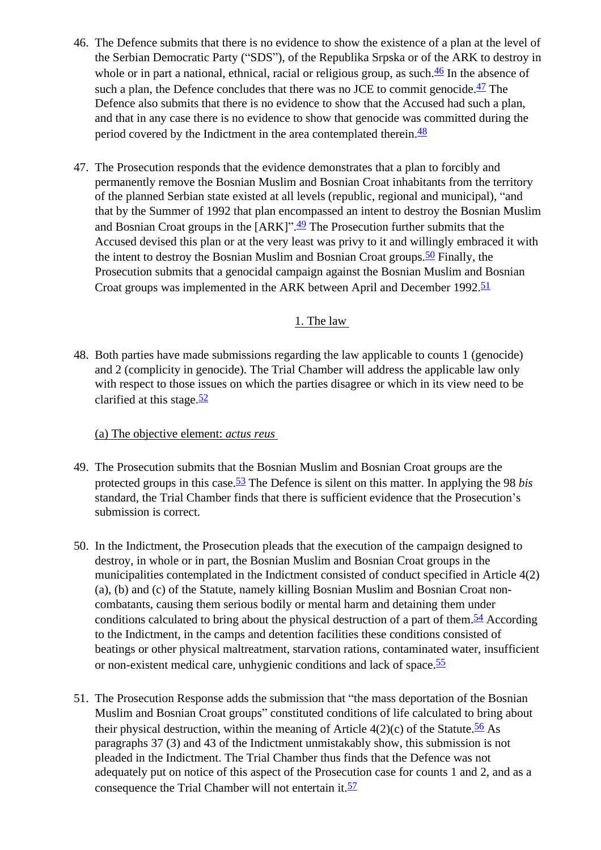- 46. The Defence submits that there is no evidence to show the existence of a plan at the level of the Serbian Democratic Party ("SDS"), of the Republika Srpska or of the ARK to destroy in whole or in part a national, ethnical, racial or religious group, as such. $\frac{46}{ }$  In the absence of such a plan, the Defence concludes that there was no JCE to commit genocide. $\frac{47}{1}$  $\frac{47}{1}$  $\frac{47}{1}$  The Defence also submits that there is no evidence to show that the Accused had such a plan, and that in any case there is no evidence to show that genocide was committed during the period covered by the Indictment in the area contemplated therein.<sup>48</sup>
- 47. The Prosecution responds that the evidence demonstrates that a plan to forcibly and permanently remove the Bosnian Muslim and Bosnian Croat inhabitants from the territory of the planned Serbian state existed at all levels (republic, regional and municipal), "and that by the Summer of 1992 that plan encompassed an intent to destroy the Bosnian Muslim and Bosnian Croat groups in the [ARK]".<sup>[49](#page-27-21)</sup> The Prosecution further submits that the Accused devised this plan or at the very least was privy to it and willingly embraced it with the intent to destroy the Bosnian Muslim and Bosnian Croat groups.<sup>50</sup> Finally, the Prosecution submits that a genocidal campaign against the Bosnian Muslim and Bosnian Croat groups was implemented in the ARK between April and December 1992.<sup>[51](#page-27-23)</sup>

### 1. The law

<span id="page-14-0"></span>48. Both parties have made submissions regarding the law applicable to counts 1 (genocide) and 2 (complicity in genocide). The Trial Chamber will address the applicable law only with respect to those issues on which the parties disagree or which in its view need to be clarified at this stage. $52$ 

#### (a) The objective element: *actus reus*

- <span id="page-14-1"></span>49. The Prosecution submits that the Bosnian Muslim and Bosnian Croat groups are the protected groups in this case.[53](#page-28-0) The Defence is silent on this matter. In applying the 98 *bis*  standard*,* the Trial Chamber finds that there is sufficient evidence that the Prosecution's submission is correct.
- 50. In the Indictment, the Prosecution pleads that the execution of the campaign designed to destroy, in whole or in part, the Bosnian Muslim and Bosnian Croat groups in the municipalities contemplated in the Indictment consisted of conduct specified in Article 4(2) (a), (b) and (c) of the Statute, namely killing Bosnian Muslim and Bosnian Croat noncombatants, causing them serious bodily or mental harm and detaining them under conditions calculated to bring about the physical destruction of a part of them.<sup>54</sup> According to the Indictment, in the camps and detention facilities these conditions consisted of beatings or other physical maltreatment, starvation rations, contaminated water, insufficient or non-existent medical care, unhygienic conditions and lack of space.[55](#page-28-2)
- 51. The Prosecution Response adds the submission that "the mass deportation of the Bosnian Muslim and Bosnian Croat groups" constituted conditions of life calculated to bring about their physical destruction, within the meaning of Article  $4(2)(c)$  of the Statute.<sup>[56](#page-28-3)</sup> As paragraphs 37 (3) and 43 of the Indictment unmistakably show, this submission is not pleaded in the Indictment. The Trial Chamber thus finds that the Defence was not adequately put on notice of this aspect of the Prosecution case for counts 1 and 2, and as a consequence the Trial Chamber will not entertain it.<sup>[57](#page-28-4)</sup>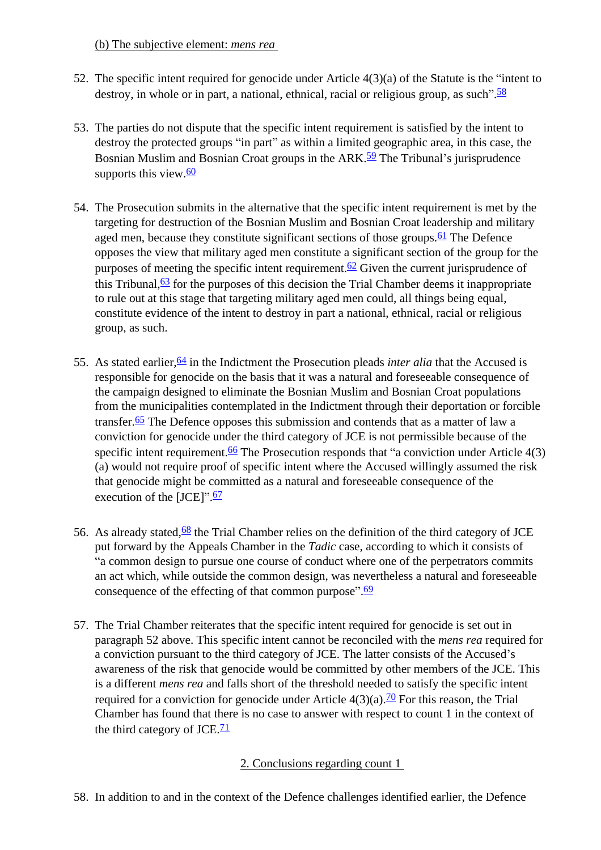(b) The subjective element: *mens rea*

- <span id="page-15-0"></span>52. The specific intent required for genocide under Article 4(3)(a) of the Statute is the "intent to destroy, in whole or in part, a national, ethnical, racial or religious group, as such".<sup>[58](#page-28-5)</sup>
- 53. The parties do not dispute that the specific intent requirement is satisfied by the intent to destroy the protected groups "in part" as within a limited geographic area, in this case, the Bosnian Muslim and Bosnian Croat groups in the ARK.<sup>59</sup> The Tribunal's jurisprudence supports this view. $60$
- 54. The Prosecution submits in the alternative that the specific intent requirement is met by the targeting for destruction of the Bosnian Muslim and Bosnian Croat leadership and military aged men, because they constitute significant sections of those groups.<sup> $61$ </sup> The Defence opposes the view that military aged men constitute a significant section of the group for the purposes of meeting the specific intent requirement. $62$  Given the current jurisprudence of this Tribunal,  $63$  for the purposes of this decision the Trial Chamber deems it inappropriate to rule out at this stage that targeting military aged men could, all things being equal, constitute evidence of the intent to destroy in part a national, ethnical, racial or religious group, as such.
- 55. As stated earlier,  $\frac{64}{9}$  in the Indictment the Prosecution pleads *inter alia* that the Accused is responsible for genocide on the basis that it was a natural and foreseeable consequence of the campaign designed to eliminate the Bosnian Muslim and Bosnian Croat populations from the municipalities contemplated in the Indictment through their deportation or forcible transfer.<sup>[65](#page-28-12)</sup> The Defence opposes this submission and contends that as a matter of law a conviction for genocide under the third category of JCE is not permissible because of the specific intent requirement. $66$  The Prosecution responds that "a conviction under Article 4(3) (a) would not require proof of specific intent where the Accused willingly assumed the risk that genocide might be committed as a natural and foreseeable consequence of the execution of the [JCE]".<sup>[67](#page-28-14)</sup>
- 56. As already stated,  $68$  the Trial Chamber relies on the definition of the third category of JCE put forward by the Appeals Chamber in the *Tadic* case, according to which it consists of "a common design to pursue one course of conduct where one of the perpetrators commits an act which, while outside the common design, was nevertheless a natural and foreseeable consequence of the effecting of that common purpose".<sup>[69](#page-28-16)</sup>
- 57. The Trial Chamber reiterates that the specific intent required for genocide is set out in paragraph 52 above. This specific intent cannot be reconciled with the *mens rea* required for a conviction pursuant to the third category of JCE. The latter consists of the Accused's awareness of the risk that genocide would be committed by other members of the JCE. This is a different *mens rea* and falls short of the threshold needed to satisfy the specific intent required for a conviction for genocide under Article  $4(3)(a)$ .<sup>70</sup> For this reason, the Trial Chamber has found that there is no case to answer with respect to count 1 in the context of the third category of JCE. $\frac{71}{2}$  $\frac{71}{2}$  $\frac{71}{2}$

## 2. Conclusions regarding count 1

<span id="page-15-1"></span>58. In addition to and in the context of the Defence challenges identified earlier, the Defence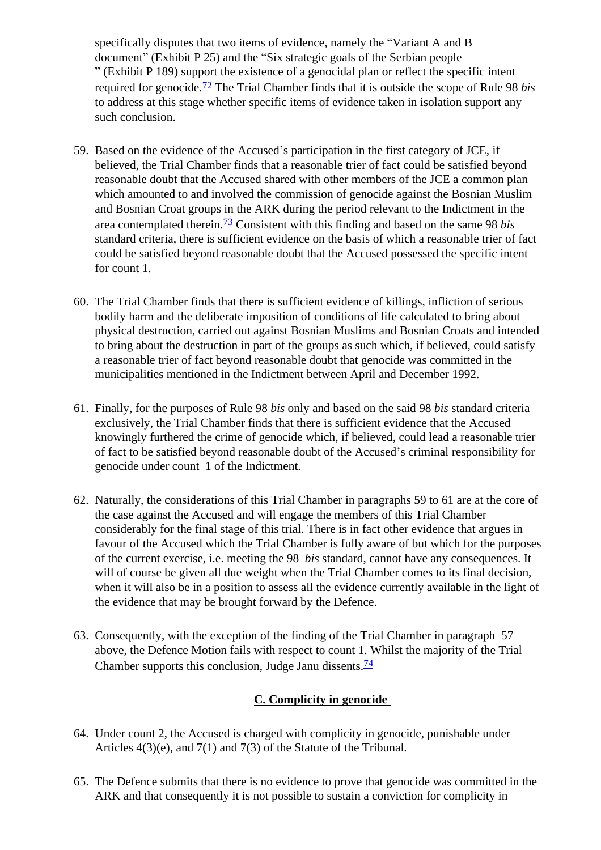specifically disputes that two items of evidence, namely the "Variant A and B document" (Exhibit P 25) and the "Six strategic goals of the Serbian people " (Exhibit P 189) support the existence of a genocidal plan or reflect the specific intent required for genocide[.72](#page-29-1) The Trial Chamber finds that it is outside the scope of Rule 98 *bis*  to address at this stage whether specific items of evidence taken in isolation support any such conclusion.

- 59. Based on the evidence of the Accused's participation in the first category of JCE, if believed, the Trial Chamber finds that a reasonable trier of fact could be satisfied beyond reasonable doubt that the Accused shared with other members of the JCE a common plan which amounted to and involved the commission of genocide against the Bosnian Muslim and Bosnian Croat groups in the ARK during the period relevant to the Indictment in the area contemplated therein.[73](#page-29-2) Consistent with this finding and based on the same 98 *bis*  standard criteria, there is sufficient evidence on the basis of which a reasonable trier of fact could be satisfied beyond reasonable doubt that the Accused possessed the specific intent for count 1.
- 60. The Trial Chamber finds that there is sufficient evidence of killings, infliction of serious bodily harm and the deliberate imposition of conditions of life calculated to bring about physical destruction, carried out against Bosnian Muslims and Bosnian Croats and intended to bring about the destruction in part of the groups as such which, if believed, could satisfy a reasonable trier of fact beyond reasonable doubt that genocide was committed in the municipalities mentioned in the Indictment between April and December 1992.
- 61. Finally, for the purposes of Rule 98 *bis* only and based on the said 98 *bis* standard criteria exclusively, the Trial Chamber finds that there is sufficient evidence that the Accused knowingly furthered the crime of genocide which, if believed, could lead a reasonable trier of fact to be satisfied beyond reasonable doubt of the Accused's criminal responsibility for genocide under count 1 of the Indictment.
- 62. Naturally, the considerations of this Trial Chamber in paragraphs 59 to 61 are at the core of the case against the Accused and will engage the members of this Trial Chamber considerably for the final stage of this trial. There is in fact other evidence that argues in favour of the Accused which the Trial Chamber is fully aware of but which for the purposes of the current exercise, i.e. meeting the 98 *bis* standard, cannot have any consequences. It will of course be given all due weight when the Trial Chamber comes to its final decision, when it will also be in a position to assess all the evidence currently available in the light of the evidence that may be brought forward by the Defence.
- 63. Consequently, with the exception of the finding of the Trial Chamber in paragraph 57 above, the Defence Motion fails with respect to count 1. Whilst the majority of the Trial Chamber supports this conclusion, Judge Janu dissents. $\frac{74}{ }$  $\frac{74}{ }$  $\frac{74}{ }$

## **C. Complicity in genocide**

- <span id="page-16-0"></span>64. Under count 2, the Accused is charged with complicity in genocide, punishable under Articles 4(3)(e), and 7(1) and 7(3) of the Statute of the Tribunal.
- 65. The Defence submits that there is no evidence to prove that genocide was committed in the ARK and that consequently it is not possible to sustain a conviction for complicity in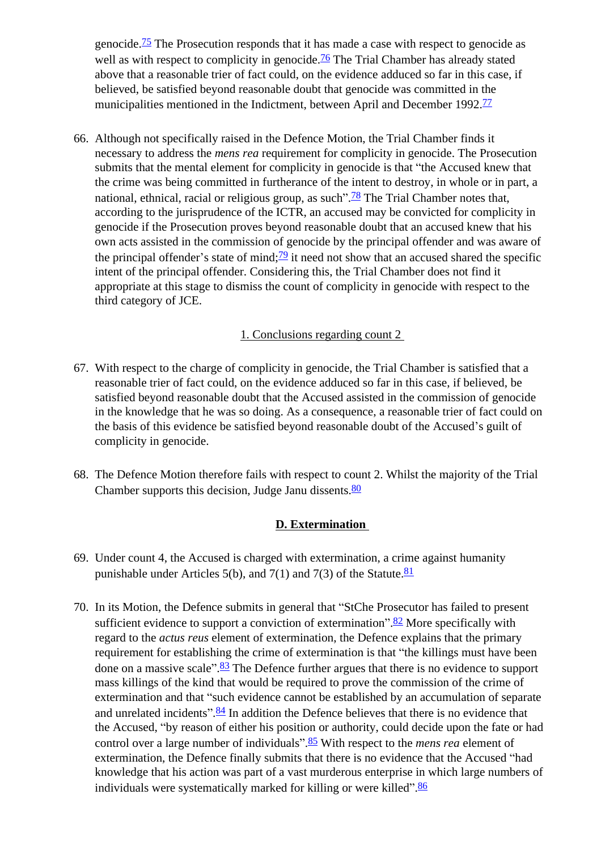genocide.<sup> $75$ </sup> The Prosecution responds that it has made a case with respect to genocide as well as with respect to complicity in genocide.<sup>76</sup> The Trial Chamber has already stated above that a reasonable trier of fact could, on the evidence adduced so far in this case, if believed, be satisfied beyond reasonable doubt that genocide was committed in the municipalities mentioned in the Indictment, between April and December 1992.<sup>[77](#page-29-6)</sup>

66. Although not specifically raised in the Defence Motion, the Trial Chamber finds it necessary to address the *mens rea* requirement for complicity in genocide. The Prosecution submits that the mental element for complicity in genocide is that "the Accused knew that the crime was being committed in furtherance of the intent to destroy, in whole or in part, a national, ethnical, racial or religious group, as such".<sup>[78](#page-29-7)</sup> The Trial Chamber notes that, according to the jurisprudence of the ICTR, an accused may be convicted for complicity in genocide if the Prosecution proves beyond reasonable doubt that an accused knew that his own acts assisted in the commission of genocide by the principal offender and was aware of the principal offender's state of mind; $\frac{79}{2}$  $\frac{79}{2}$  $\frac{79}{2}$  it need not show that an accused shared the specific intent of the principal offender. Considering this, the Trial Chamber does not find it appropriate at this stage to dismiss the count of complicity in genocide with respect to the third category of JCE.

### 1. Conclusions regarding count 2

- <span id="page-17-0"></span>67. With respect to the charge of complicity in genocide, the Trial Chamber is satisfied that a reasonable trier of fact could, on the evidence adduced so far in this case, if believed, be satisfied beyond reasonable doubt that the Accused assisted in the commission of genocide in the knowledge that he was so doing. As a consequence, a reasonable trier of fact could on the basis of this evidence be satisfied beyond reasonable doubt of the Accused's guilt of complicity in genocide.
- 68. The Defence Motion therefore fails with respect to count 2. Whilst the majority of the Trial Chamber supports this decision, Judge Janu dissents. $\frac{80}{2}$  $\frac{80}{2}$  $\frac{80}{2}$

#### **D. Extermination**

- <span id="page-17-1"></span>69. Under count 4, the Accused is charged with extermination, a crime against humanity punishable under Articles 5(b), and 7(1) and 7(3) of the Statute. $81$
- 70. In its Motion, the Defence submits in general that "StChe Prosecutor has failed to present sufficient evidence to support a conviction of extermination".<sup>82</sup> More specifically with regard to the *actus reus* element of extermination, the Defence explains that the primary requirement for establishing the crime of extermination is that "the killings must have been done on a massive scale".<sup>[83](#page-29-12)</sup> The Defence further argues that there is no evidence to support mass killings of the kind that would be required to prove the commission of the crime of extermination and that "such evidence cannot be established by an accumulation of separate and unrelated incidents".<sup>[84](#page-29-13)</sup> In addition the Defence believes that there is no evidence that the Accused, "by reason of either his position or authority, could decide upon the fate or had control over a large number of individuals". [85](#page-29-14) With respect to the *mens rea* element of extermination, the Defence finally submits that there is no evidence that the Accused "had knowledge that his action was part of a vast murderous enterprise in which large numbers of individuals were systematically marked for killing or were killed". [86](#page-29-15)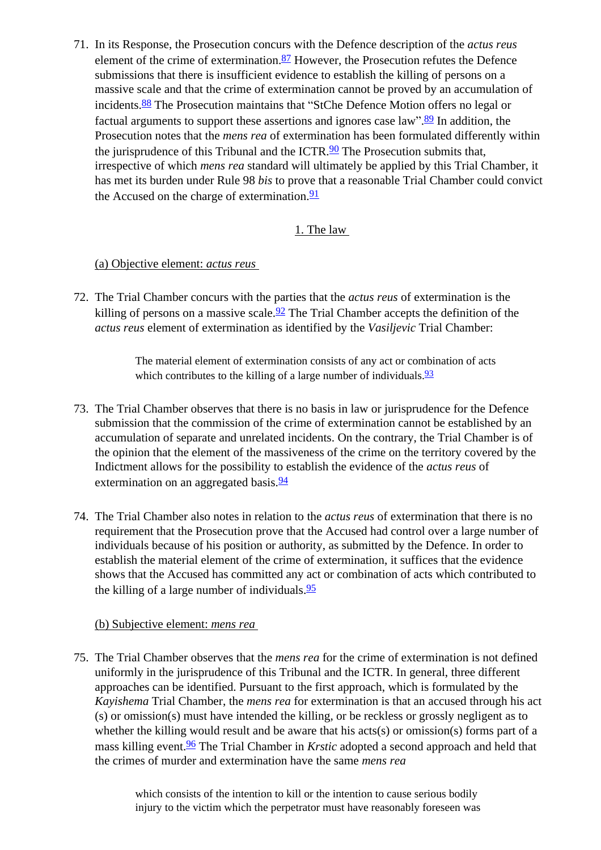71. In its Response, the Prosecution concurs with the Defence description of the *actus reus*  element of the crime of extermination. $87$  However, the Prosecution refutes the Defence submissions that there is insufficient evidence to establish the killing of persons on a massive scale and that the crime of extermination cannot be proved by an accumulation of incidents[.88](#page-29-17) The Prosecution maintains that "StChe Defence Motion offers no legal or factual arguments to support these assertions and ignores case law".<sup>89</sup> In addition, the Prosecution notes that the *mens rea* of extermination has been formulated differently within the jurisprudence of this Tribunal and the ICTR. $90$  The Prosecution submits that, irrespective of which *mens rea* standard will ultimately be applied by this Trial Chamber, it has met its burden under Rule 98 *bis* to prove that a reasonable Trial Chamber could convict the Accused on the charge of extermination. $\frac{91}{91}$ 

### 1. The law

### <span id="page-18-0"></span>(a) Objective element: *actus reus*

<span id="page-18-1"></span>72. The Trial Chamber concurs with the parties that the *actus reus* of extermination is the killing of persons on a massive scale. $\frac{92}{2}$  The Trial Chamber accepts the definition of the *actus reus* element of extermination as identified by the *Vasiljevic* Trial Chamber:

> The material element of extermination consists of any act or combination of acts which contributes to the killing of a large number of individuals.  $\frac{93}{5}$  $\frac{93}{5}$  $\frac{93}{5}$

- 73. The Trial Chamber observes that there is no basis in law or jurisprudence for the Defence submission that the commission of the crime of extermination cannot be established by an accumulation of separate and unrelated incidents. On the contrary, the Trial Chamber is of the opinion that the element of the massiveness of the crime on the territory covered by the Indictment allows for the possibility to establish the evidence of the *actus reus* of extermination on an aggregated basis.<sup>[94](#page-29-23)</sup>
- 74. The Trial Chamber also notes in relation to the *actus reus* of extermination that there is no requirement that the Prosecution prove that the Accused had control over a large number of individuals because of his position or authority, as submitted by the Defence. In order to establish the material element of the crime of extermination, it suffices that the evidence shows that the Accused has committed any act or combination of acts which contributed to the killing of a large number of individuals. $\frac{95}{5}$

### (b) Subjective element: *mens rea*

75. The Trial Chamber observes that the *mens rea* for the crime of extermination is not defined uniformly in the jurisprudence of this Tribunal and the ICTR. In general, three different approaches can be identified. Pursuant to the first approach, which is formulated by the *Kayishema* Trial Chamber, the *mens rea* for extermination is that an accused through his act (s) or omission(s) must have intended the killing, or be reckless or grossly negligent as to whether the killing would result and be aware that his acts(s) or omission(s) forms part of a mass killing event[.96](#page-29-25) The Trial Chamber in *Krstic* adopted a second approach and held that the crimes of murder and extermination have the same *mens rea* 

> which consists of the intention to kill or the intention to cause serious bodily injury to the victim which the perpetrator must have reasonably foreseen was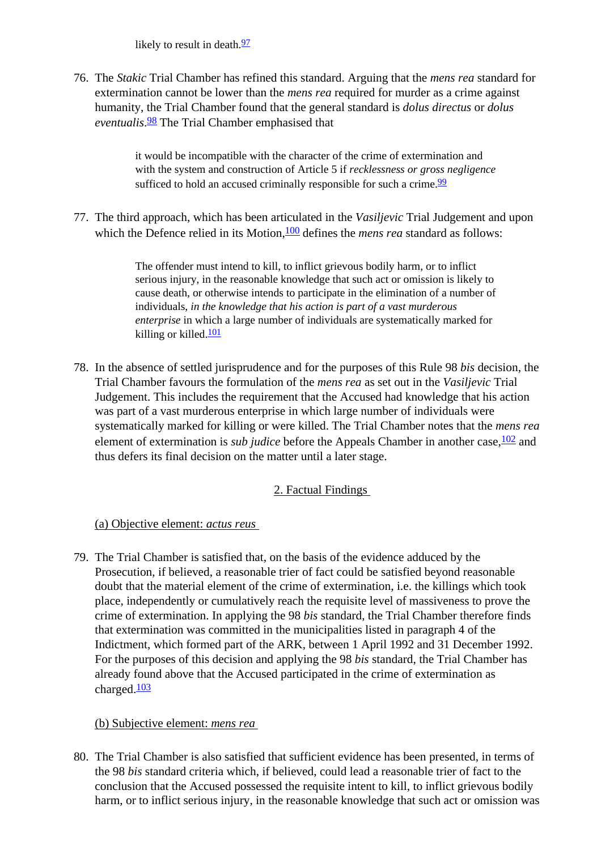likely to result in death. $\frac{97}{2}$  $\frac{97}{2}$  $\frac{97}{2}$ 

76. The *Stakic* Trial Chamber has refined this standard. Arguing that the *mens rea* standard for extermination cannot be lower than the *mens rea* required for murder as a crime against humanity, the Trial Chamber found that the general standard is *dolus directus* or *dolus eventualis*. [98](#page-29-27) The Trial Chamber emphasised that

> it would be incompatible with the character of the crime of extermination and with the system and construction of Article 5 if *recklessness or gross negligence*  sufficed to hold an accused criminally responsible for such a crime.  $99$

77. The third approach, which has been articulated in the *Vasiljevic* Trial Judgement and upon which the Defence relied in its Motion, <sup>100</sup> defines the *mens rea* standard as follows:

> The offender must intend to kill, to inflict grievous bodily harm, or to inflict serious injury, in the reasonable knowledge that such act or omission is likely to cause death, or otherwise intends to participate in the elimination of a number of individuals, *in the knowledge that his action is part of a vast murderous enterprise* in which a large number of individuals are systematically marked for killing or killed.<sup>[101](#page-29-30)</sup>

78. In the absence of settled jurisprudence and for the purposes of this Rule 98 *bis* decision, the Trial Chamber favours the formulation of the *mens rea* as set out in the *Vasiljevic* Trial Judgement. This includes the requirement that the Accused had knowledge that his action was part of a vast murderous enterprise in which large number of individuals were systematically marked for killing or were killed. The Trial Chamber notes that the *mens rea*  element of extermination is *sub judice* before the Appeals Chamber in another case,  $\frac{102}{2}$  and thus defers its final decision on the matter until a later stage.

## 2. Factual Findings

## (a) Objective element: *actus reus*

<span id="page-19-1"></span><span id="page-19-0"></span>79. The Trial Chamber is satisfied that, on the basis of the evidence adduced by the Prosecution, if believed, a reasonable trier of fact could be satisfied beyond reasonable doubt that the material element of the crime of extermination, i.e. the killings which took place, independently or cumulatively reach the requisite level of massiveness to prove the crime of extermination. In applying the 98 *bis* standard, the Trial Chamber therefore finds that extermination was committed in the municipalities listed in paragraph 4 of the Indictment, which formed part of the ARK, between 1 April 1992 and 31 December 1992. For the purposes of this decision and applying the 98 *bis* standard, the Trial Chamber has already found above that the Accused participated in the crime of extermination as charged. $\frac{103}{2}$  $\frac{103}{2}$  $\frac{103}{2}$ 

## (b) Subjective element: *mens rea*

<span id="page-19-2"></span>80. The Trial Chamber is also satisfied that sufficient evidence has been presented, in terms of the 98 *bis* standard criteria which, if believed, could lead a reasonable trier of fact to the conclusion that the Accused possessed the requisite intent to kill, to inflict grievous bodily harm, or to inflict serious injury, in the reasonable knowledge that such act or omission was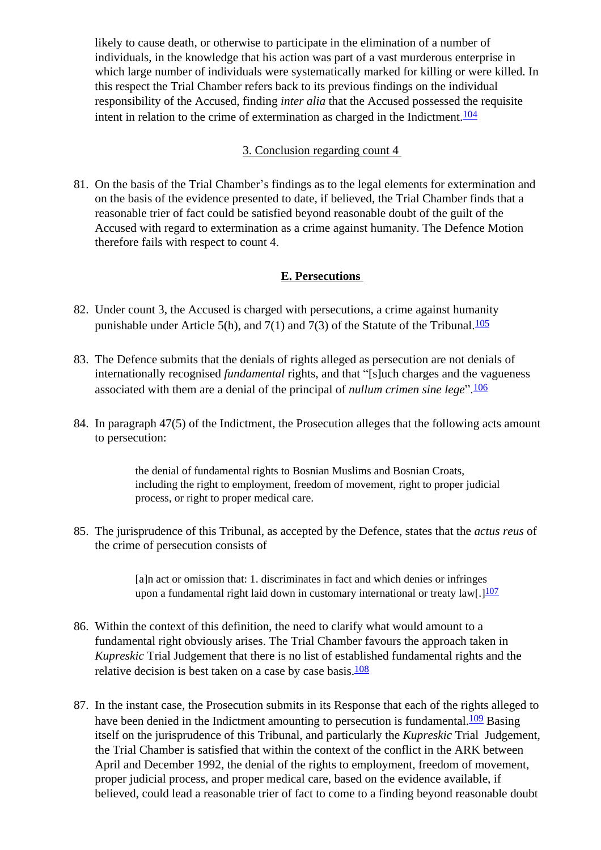likely to cause death, or otherwise to participate in the elimination of a number of individuals, in the knowledge that his action was part of a vast murderous enterprise in which large number of individuals were systematically marked for killing or were killed. In this respect the Trial Chamber refers back to its previous findings on the individual responsibility of the Accused, finding *inter alia* that the Accused possessed the requisite intent in relation to the crime of extermination as charged in the Indictment. $104$ 

### 3. Conclusion regarding count 4

<span id="page-20-0"></span>81. On the basis of the Trial Chamber's findings as to the legal elements for extermination and on the basis of the evidence presented to date, if believed, the Trial Chamber finds that a reasonable trier of fact could be satisfied beyond reasonable doubt of the guilt of the Accused with regard to extermination as a crime against humanity. The Defence Motion therefore fails with respect to count 4.

### **E. Persecutions**

- <span id="page-20-1"></span>82. Under count 3, the Accused is charged with persecutions, a crime against humanity punishable under Article 5(h), and 7(1) and 7(3) of the Statute of the Tribunal.<sup>105</sup>
- 83. The Defence submits that the denials of rights alleged as persecution are not denials of internationally recognised *fundamental* rights, and that "[s]uch charges and the vagueness associated with them are a denial of the principal of *nullum crimen sine lege*". [106](#page-29-35)
- 84. In paragraph 47(5) of the Indictment, the Prosecution alleges that the following acts amount to persecution:

the denial of fundamental rights to Bosnian Muslims and Bosnian Croats, including the right to employment, freedom of movement, right to proper judicial process, or right to proper medical care.

85. The jurisprudence of this Tribunal, as accepted by the Defence, states that the *actus reus* of the crime of persecution consists of

> [a]n act or omission that: 1. discriminates in fact and which denies or infringes upon a fundamental right laid down in customary international or treaty  $\text{law}[\cdot]$ <sup>[107](#page-29-36)</sup>

- 86. Within the context of this definition, the need to clarify what would amount to a fundamental right obviously arises. The Trial Chamber favours the approach taken in *Kupreskic* Trial Judgement that there is no list of established fundamental rights and the relative decision is best taken on a case by case basis. $\frac{108}{108}$  $\frac{108}{108}$  $\frac{108}{108}$
- 87. In the instant case, the Prosecution submits in its Response that each of the rights alleged to have been denied in the Indictment amounting to persecution is fundamental. $\frac{109}{109}$  Basing itself on the jurisprudence of this Tribunal, and particularly the *Kupreskic* Trial Judgement, the Trial Chamber is satisfied that within the context of the conflict in the ARK between April and December 1992, the denial of the rights to employment, freedom of movement, proper judicial process, and proper medical care, based on the evidence available, if believed, could lead a reasonable trier of fact to come to a finding beyond reasonable doubt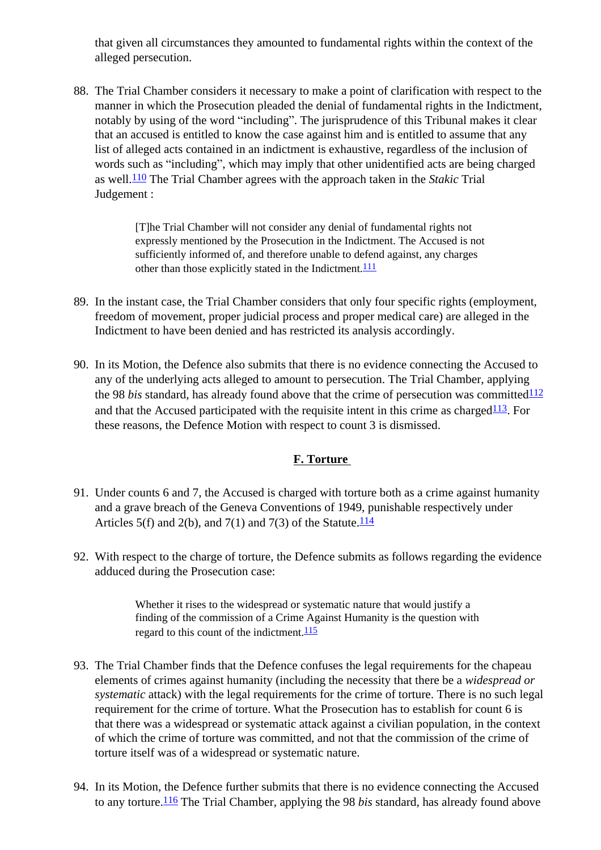that given all circumstances they amounted to fundamental rights within the context of the alleged persecution.

88. The Trial Chamber considers it necessary to make a point of clarification with respect to the manner in which the Prosecution pleaded the denial of fundamental rights in the Indictment, notably by using of the word "including". The jurisprudence of this Tribunal makes it clear that an accused is entitled to know the case against him and is entitled to assume that any list of alleged acts contained in an indictment is exhaustive, regardless of the inclusion of words such as "including", which may imply that other unidentified acts are being charged as well.[110](#page-30-1) The Trial Chamber agrees with the approach taken in the *Stakic* Trial Judgement :

> [T]he Trial Chamber will not consider any denial of fundamental rights not expressly mentioned by the Prosecution in the Indictment. The Accused is not sufficiently informed of, and therefore unable to defend against, any charges other than those explicitly stated in the Indictment.<sup>[111](#page-30-2)</sup>

- 89. In the instant case, the Trial Chamber considers that only four specific rights (employment, freedom of movement, proper judicial process and proper medical care) are alleged in the Indictment to have been denied and has restricted its analysis accordingly.
- 90. In its Motion, the Defence also submits that there is no evidence connecting the Accused to any of the underlying acts alleged to amount to persecution. The Trial Chamber, applying the 98 *bis* standard, has already found above that the crime of persecution was committed $\frac{112}{112}$  $\frac{112}{112}$  $\frac{112}{112}$ and that the Accused participated with the requisite intent in this crime as charged  $\frac{113}{12}$  $\frac{113}{12}$  $\frac{113}{12}$ . For these reasons, the Defence Motion with respect to count 3 is dismissed.

## **F. Torture**

- <span id="page-21-0"></span>91. Under counts 6 and 7, the Accused is charged with torture both as a crime against humanity and a grave breach of the Geneva Conventions of 1949, punishable respectively under Articles 5(f) and 2(b), and 7(1) and 7(3) of the Statute. $\frac{114}{114}$  $\frac{114}{114}$  $\frac{114}{114}$
- 92. With respect to the charge of torture, the Defence submits as follows regarding the evidence adduced during the Prosecution case:

Whether it rises to the widespread or systematic nature that would justify a finding of the commission of a Crime Against Humanity is the question with regard to this count of the indictment. $\frac{115}{110}$  $\frac{115}{110}$  $\frac{115}{110}$ 

- 93. The Trial Chamber finds that the Defence confuses the legal requirements for the chapeau elements of crimes against humanity (including the necessity that there be a *widespread or systematic* attack) with the legal requirements for the crime of torture. There is no such legal requirement for the crime of torture. What the Prosecution has to establish for count 6 is that there was a widespread or systematic attack against a civilian population, in the context of which the crime of torture was committed, and not that the commission of the crime of torture itself was of a widespread or systematic nature.
- 94. In its Motion, the Defence further submits that there is no evidence connecting the Accused to any torture.[116](#page-30-7) The Trial Chamber, applying the 98 *bis* standard, has already found above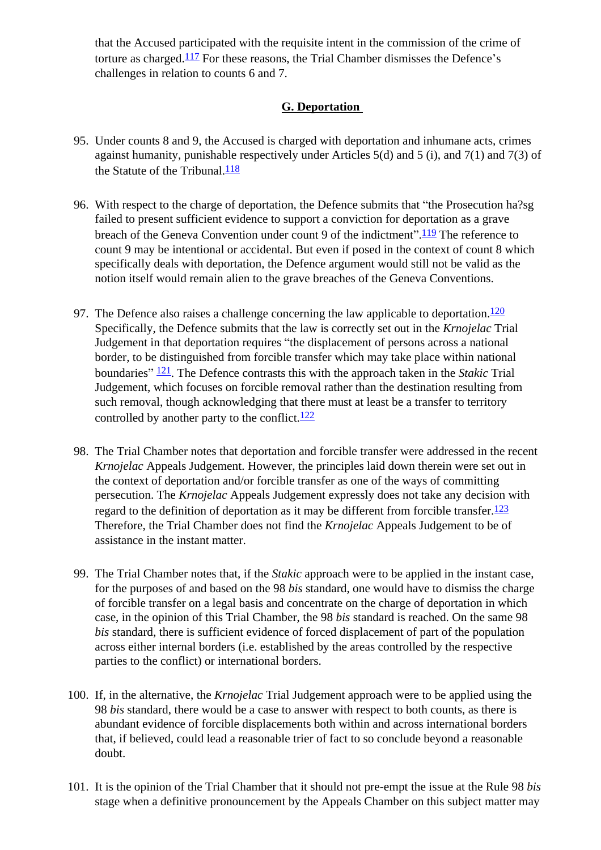that the Accused participated with the requisite intent in the commission of the crime of torture as charged.[117](#page-30-8) For these reasons, the Trial Chamber dismisses the Defence's challenges in relation to counts 6 and 7.

## **G. Deportation**

- <span id="page-22-0"></span>95. Under counts 8 and 9, the Accused is charged with deportation and inhumane acts, crimes against humanity, punishable respectively under Articles 5(d) and 5 (i), and 7(1) and 7(3) of the Statute of the Tribunal. $\frac{118}{1}$  $\frac{118}{1}$  $\frac{118}{1}$
- 96. With respect to the charge of deportation, the Defence submits that "the Prosecution ha?sg failed to present sufficient evidence to support a conviction for deportation as a grave breach of the Geneva Convention under count 9 of the indictment". <sup>[119](#page-30-10)</sup> The reference to count 9 may be intentional or accidental. But even if posed in the context of count 8 which specifically deals with deportation, the Defence argument would still not be valid as the notion itself would remain alien to the grave breaches of the Geneva Conventions.
- 97. The Defence also raises a challenge concerning the law applicable to deportation.<sup>120</sup> Specifically, the Defence submits that the law is correctly set out in the *Krnojelac* Trial Judgement in that deportation requires "the displacement of persons across a national border, to be distinguished from forcible transfer which may take place within national boundaries" [121](#page-30-12). The Defence contrasts this with the approach taken in the *Stakic* Trial Judgement, which focuses on forcible removal rather than the destination resulting from such removal, though acknowledging that there must at least be a transfer to territory controlled by another party to the conflict. $\frac{122}{122}$  $\frac{122}{122}$  $\frac{122}{122}$
- 98. The Trial Chamber notes that deportation and forcible transfer were addressed in the recent *Krnojelac* Appeals Judgement. However, the principles laid down therein were set out in the context of deportation and/or forcible transfer as one of the ways of committing persecution. The *Krnojelac* Appeals Judgement expressly does not take any decision with regard to the definition of deportation as it may be different from forcible transfer.<sup>123</sup> Therefore, the Trial Chamber does not find the *Krnojelac* Appeals Judgement to be of assistance in the instant matter.
- 99. The Trial Chamber notes that, if the *Stakic* approach were to be applied in the instant case, for the purposes of and based on the 98 *bis* standard, one would have to dismiss the charge of forcible transfer on a legal basis and concentrate on the charge of deportation in which case, in the opinion of this Trial Chamber, the 98 *bis* standard is reached. On the same 98 *bis* standard, there is sufficient evidence of forced displacement of part of the population across either internal borders (i.e. established by the areas controlled by the respective parties to the conflict) or international borders.
- 100. If, in the alternative, the *Krnojelac* Trial Judgement approach were to be applied using the 98 *bis* standard, there would be a case to answer with respect to both counts, as there is abundant evidence of forcible displacements both within and across international borders that, if believed, could lead a reasonable trier of fact to so conclude beyond a reasonable doubt.
- 101. It is the opinion of the Trial Chamber that it should not pre-empt the issue at the Rule 98 *bis*  stage when a definitive pronouncement by the Appeals Chamber on this subject matter may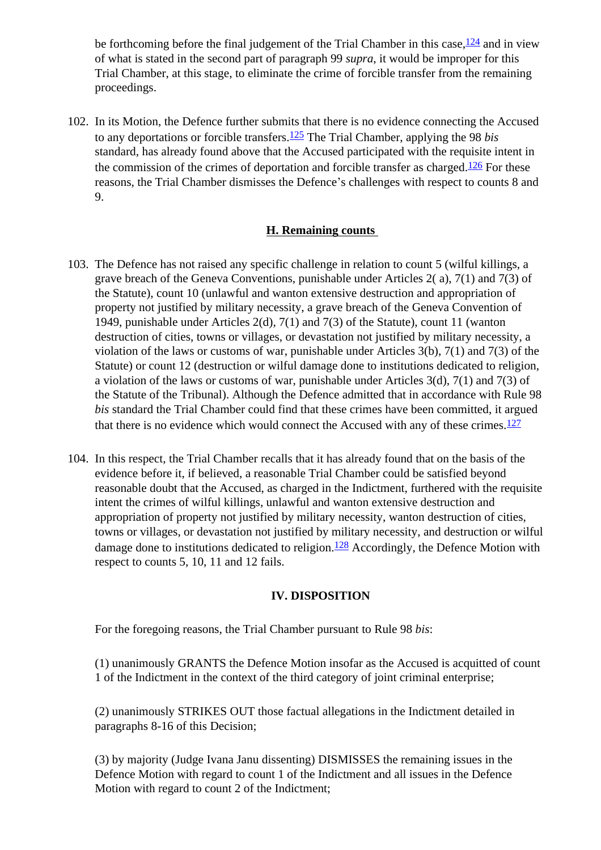be forthcoming before the final judgement of the Trial Chamber in this case,  $\frac{124}{124}$  $\frac{124}{124}$  $\frac{124}{124}$  and in view of what is stated in the second part of paragraph 99 *supra*, it would be improper for this Trial Chamber, at this stage, to eliminate the crime of forcible transfer from the remaining proceedings.

102. In its Motion, the Defence further submits that there is no evidence connecting the Accused to any deportations or forcible transfers.[125](#page-30-16) The Trial Chamber, applying the 98 *bis*  standard, has already found above that the Accused participated with the requisite intent in the commission of the crimes of deportation and forcible transfer as charged.<sup>126</sup> For these reasons, the Trial Chamber dismisses the Defence's challenges with respect to counts 8 and 9.

### **H. Remaining counts**

- <span id="page-23-0"></span>103. The Defence has not raised any specific challenge in relation to count 5 (wilful killings, a grave breach of the Geneva Conventions, punishable under Articles 2( a), 7(1) and 7(3) of the Statute), count 10 (unlawful and wanton extensive destruction and appropriation of property not justified by military necessity, a grave breach of the Geneva Convention of 1949, punishable under Articles 2(d), 7(1) and 7(3) of the Statute), count 11 (wanton destruction of cities, towns or villages, or devastation not justified by military necessity, a violation of the laws or customs of war, punishable under Articles 3(b), 7(1) and 7(3) of the Statute) or count 12 (destruction or wilful damage done to institutions dedicated to religion, a violation of the laws or customs of war, punishable under Articles 3(d), 7(1) and 7(3) of the Statute of the Tribunal). Although the Defence admitted that in accordance with Rule 98 *bis* standard the Trial Chamber could find that these crimes have been committed, it argued that there is no evidence which would connect the Accused with any of these crimes.<sup>[127](#page-30-18)</sup>
- 104. In this respect, the Trial Chamber recalls that it has already found that on the basis of the evidence before it, if believed, a reasonable Trial Chamber could be satisfied beyond reasonable doubt that the Accused, as charged in the Indictment, furthered with the requisite intent the crimes of wilful killings, unlawful and wanton extensive destruction and appropriation of property not justified by military necessity, wanton destruction of cities, towns or villages, or devastation not justified by military necessity, and destruction or wilful damage done to institutions dedicated to religion.<sup>[128](#page-30-19)</sup> Accordingly, the Defence Motion with respect to counts 5, 10, 11 and 12 fails.

#### **IV. DISPOSITION**

For the foregoing reasons, the Trial Chamber pursuant to Rule 98 *bis*:

(1) unanimously GRANTS the Defence Motion insofar as the Accused is acquitted of count 1 of the Indictment in the context of the third category of joint criminal enterprise;

(2) unanimously STRIKES OUT those factual allegations in the Indictment detailed in paragraphs 8-16 of this Decision;

(3) by majority (Judge Ivana Janu dissenting) DISMISSES the remaining issues in the Defence Motion with regard to count 1 of the Indictment and all issues in the Defence Motion with regard to count 2 of the Indictment;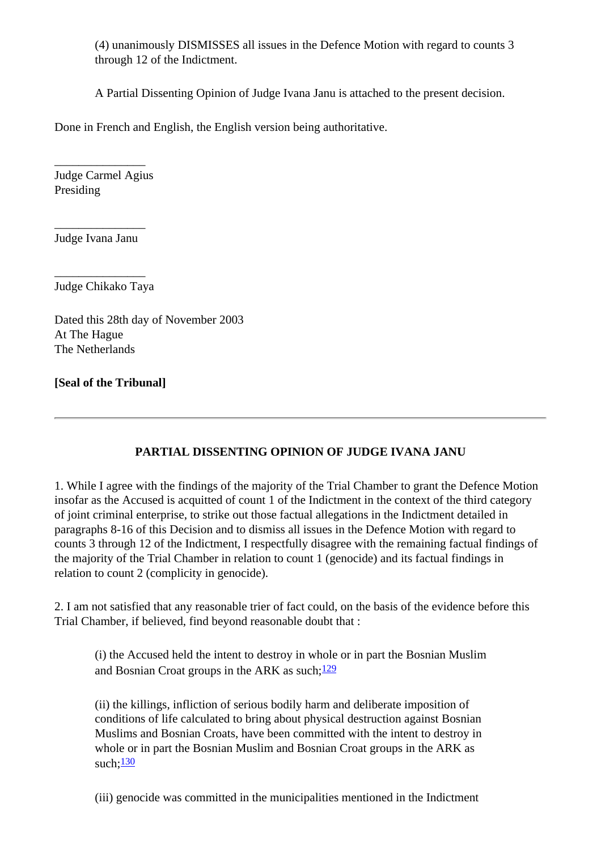(4) unanimously DISMISSES all issues in the Defence Motion with regard to counts 3 through 12 of the Indictment.

A Partial Dissenting Opinion of Judge Ivana Janu is attached to the present decision.

Done in French and English, the English version being authoritative.

\_\_\_\_\_\_\_\_\_\_\_\_\_\_\_ Judge Carmel Agius Presiding

\_\_\_\_\_\_\_\_\_\_\_\_\_\_\_ Judge Ivana Janu

\_\_\_\_\_\_\_\_\_\_\_\_\_\_\_ Judge Chikako Taya

Dated this 28th day of November 2003 At The Hague The Netherlands

### **[Seal of the Tribunal]**

## **PARTIAL DISSENTING OPINION OF JUDGE IVANA JANU**

1. While I agree with the findings of the majority of the Trial Chamber to grant the Defence Motion insofar as the Accused is acquitted of count 1 of the Indictment in the context of the third category of joint criminal enterprise, to strike out those factual allegations in the Indictment detailed in paragraphs 8-16 of this Decision and to dismiss all issues in the Defence Motion with regard to counts 3 through 12 of the Indictment, I respectfully disagree with the remaining factual findings of the majority of the Trial Chamber in relation to count 1 (genocide) and its factual findings in relation to count 2 (complicity in genocide).

2. I am not satisfied that any reasonable trier of fact could, on the basis of the evidence before this Trial Chamber, if believed, find beyond reasonable doubt that :

(i) the Accused held the intent to destroy in whole or in part the Bosnian Muslim and Bosnian Croat groups in the ARK as such: $\frac{129}{129}$  $\frac{129}{129}$  $\frac{129}{129}$ 

(ii) the killings, infliction of serious bodily harm and deliberate imposition of conditions of life calculated to bring about physical destruction against Bosnian Muslims and Bosnian Croats, have been committed with the intent to destroy in whole or in part the Bosnian Muslim and Bosnian Croat groups in the ARK as such:  $\frac{130}{ }$ 

(iii) genocide was committed in the municipalities mentioned in the Indictment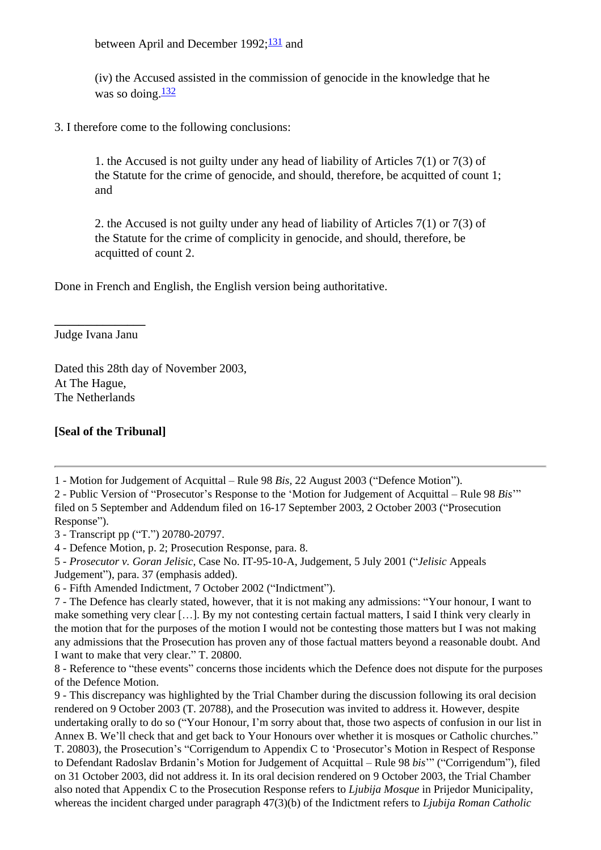between April and December  $1992;131$  and

(iv) the Accused assisted in the commission of genocide in the knowledge that he was so doing. $\frac{132}{2}$  $\frac{132}{2}$  $\frac{132}{2}$ 

3. I therefore come to the following conclusions:

1. the Accused is not guilty under any head of liability of Articles 7(1) or 7(3) of the Statute for the crime of genocide, and should, therefore, be acquitted of count 1; and

2. the Accused is not guilty under any head of liability of Articles 7(1) or 7(3) of the Statute for the crime of complicity in genocide, and should, therefore, be acquitted of count 2.

Done in French and English, the English version being authoritative.

**\_\_\_\_\_\_\_\_\_\_\_\_\_\_\_**  Judge Ivana Janu

Dated this 28th day of November 2003, At The Hague, The Netherlands

### **[Seal of the Tribunal]**

<span id="page-25-0"></span>1 - Motion for Judgement of Acquittal – Rule 98 *Bis,* 22 August 2003 ("Defence Motion").

<span id="page-25-1"></span>2 - Public Version of "Prosecutor's Response to the 'Motion for Judgement of Acquittal – Rule 98 *Bis*'" filed on 5 September and Addendum filed on 16-17 September 2003, 2 October 2003 ("Prosecution Response").

<span id="page-25-2"></span>3 - Transcript pp ("T.") 20780-20797.

<span id="page-25-3"></span>4 - Defence Motion, p. 2; Prosecution Response, para. 8.

<span id="page-25-4"></span>5 - *Prosecutor v. Goran Jelisic,* Case No. IT-95-10-A, Judgement, 5 July 2001 ("*Jelisic* Appeals Judgement"), para. 37 (emphasis added).

<span id="page-25-5"></span>6 - Fifth Amended Indictment, 7 October 2002 ("Indictment").

<span id="page-25-6"></span>7 - The Defence has clearly stated, however, that it is not making any admissions: "Your honour, I want to make something very clear […]. By my not contesting certain factual matters, I said I think very clearly in the motion that for the purposes of the motion I would not be contesting those matters but I was not making any admissions that the Prosecution has proven any of those factual matters beyond a reasonable doubt. And I want to make that very clear." T. 20800.

<span id="page-25-7"></span>8 - Reference to "these events" concerns those incidents which the Defence does not dispute for the purposes of the Defence Motion.

<span id="page-25-8"></span>9 - This discrepancy was highlighted by the Trial Chamber during the discussion following its oral decision rendered on 9 October 2003 (T. 20788), and the Prosecution was invited to address it. However, despite undertaking orally to do so ("Your Honour, I'm sorry about that, those two aspects of confusion in our list in Annex B. We'll check that and get back to Your Honours over whether it is mosques or Catholic churches." T. 20803), the Prosecution's "Corrigendum to Appendix C to 'Prosecutor's Motion in Respect of Response to Defendant Radoslav Brdanin's Motion for Judgement of Acquittal – Rule 98 *bis*'" ("Corrigendum"), filed on 31 October 2003, did not address it. In its oral decision rendered on 9 October 2003, the Trial Chamber also noted that Appendix C to the Prosecution Response refers to *Ljubija Mosque* in Prijedor Municipality, whereas the incident charged under paragraph 47(3)(b) of the Indictment refers to *Ljubija Roman Catholic*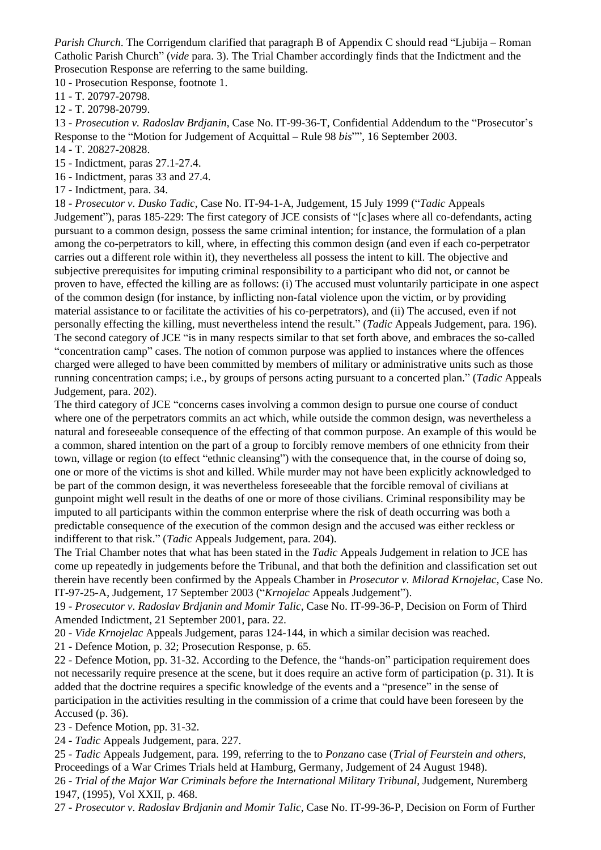*Parish Church*. The Corrigendum clarified that paragraph B of Appendix C should read "Ljubija – Roman Catholic Parish Church" (*vide* para. 3). The Trial Chamber accordingly finds that the Indictment and the Prosecution Response are referring to the same building.

<span id="page-26-0"></span>10 - Prosecution Response, footnote 1.

<span id="page-26-1"></span>11 - T. 20797-20798.

<span id="page-26-2"></span>12 - T. 20798-20799.

<span id="page-26-3"></span>13 - *Prosecution v. Radoslav Brdjanin*, Case No. IT-99-36-T, Confidential Addendum to the "Prosecutor's Response to the "Motion for Judgement of Acquittal – Rule 98 *bis*"", 16 September 2003.

<span id="page-26-4"></span>14 - T. 20827-20828.

<span id="page-26-5"></span>15 - Indictment, paras 27.1-27.4.

<span id="page-26-6"></span>16 - Indictment, paras 33 and 27.4.

<span id="page-26-7"></span>17 - Indictment, para. 34.

<span id="page-26-8"></span>18 - *Prosecutor v. Dusko Tadic*, Case No. IT-94-1-A, Judgement, 15 July 1999 ("*Tadic* Appeals Judgement"), paras 185-229: The first category of JCE consists of "[c]ases where all co-defendants, acting pursuant to a common design, possess the same criminal intention; for instance, the formulation of a plan among the co-perpetrators to kill, where, in effecting this common design (and even if each co-perpetrator carries out a different role within it), they nevertheless all possess the intent to kill. The objective and subjective prerequisites for imputing criminal responsibility to a participant who did not, or cannot be proven to have, effected the killing are as follows: (i) The accused must voluntarily participate in one aspect of the common design (for instance, by inflicting non-fatal violence upon the victim, or by providing material assistance to or facilitate the activities of his co-perpetrators), and (ii) The accused, even if not personally effecting the killing, must nevertheless intend the result." (*Tadic* Appeals Judgement, para. 196). The second category of JCE "is in many respects similar to that set forth above, and embraces the so-called "concentration camp" cases. The notion of common purpose was applied to instances where the offences charged were alleged to have been committed by members of military or administrative units such as those running concentration camps; i.e., by groups of persons acting pursuant to a concerted plan." (*Tadic* Appeals Judgement, para. 202).

The third category of JCE "concerns cases involving a common design to pursue one course of conduct where one of the perpetrators commits an act which, while outside the common design, was nevertheless a natural and foreseeable consequence of the effecting of that common purpose. An example of this would be a common, shared intention on the part of a group to forcibly remove members of one ethnicity from their town, village or region (to effect "ethnic cleansing") with the consequence that, in the course of doing so, one or more of the victims is shot and killed. While murder may not have been explicitly acknowledged to be part of the common design, it was nevertheless foreseeable that the forcible removal of civilians at gunpoint might well result in the deaths of one or more of those civilians. Criminal responsibility may be imputed to all participants within the common enterprise where the risk of death occurring was both a predictable consequence of the execution of the common design and the accused was either reckless or indifferent to that risk." (*Tadic* Appeals Judgement, para. 204).

The Trial Chamber notes that what has been stated in the *Tadic* Appeals Judgement in relation to JCE has come up repeatedly in judgements before the Tribunal, and that both the definition and classification set out therein have recently been confirmed by the Appeals Chamber in *Prosecutor v. Milorad Krnojelac*, Case No. IT-97-25-A, Judgement, 17 September 2003 ("*Krnojelac* Appeals Judgement").

<span id="page-26-9"></span>19 - *Prosecutor v. Radoslav Brdjanin and Momir Talic*, Case No. IT-99-36-P, Decision on Form of Third Amended Indictment, 21 September 2001, para. 22.

<span id="page-26-10"></span>20 - *Vide Krnojelac* Appeals Judgement, paras 124-144, in which a similar decision was reached.

<span id="page-26-11"></span>21 - Defence Motion, p. 32; Prosecution Response, p. 65.

<span id="page-26-12"></span>22 - Defence Motion, pp. 31-32. According to the Defence, the "hands-on" participation requirement does not necessarily require presence at the scene, but it does require an active form of participation (p. 31). It is added that the doctrine requires a specific knowledge of the events and a "presence" in the sense of participation in the activities resulting in the commission of a crime that could have been foreseen by the Accused (p. 36).

<span id="page-26-13"></span>23 - Defence Motion, pp. 31-32.

<span id="page-26-14"></span>24 - *Tadic* Appeals Judgement, para. 227.

<span id="page-26-15"></span>25 - *Tadic* Appeals Judgement, para. 199, referring to the to *Ponzano* case (*Trial of Feurstein and others*, Proceedings of a War Crimes Trials held at Hamburg, Germany, Judgement of 24 August 1948). 26 - *Trial of the Major War Criminals before the International Military Tribunal*, Judgement, Nuremberg

<span id="page-26-16"></span>1947, (1995), Vol XXII, p. 468.

<span id="page-26-17"></span>27 - *Prosecutor v. Radoslav Brdjanin and Momir Talic*, Case No. IT-99-36-P, Decision on Form of Further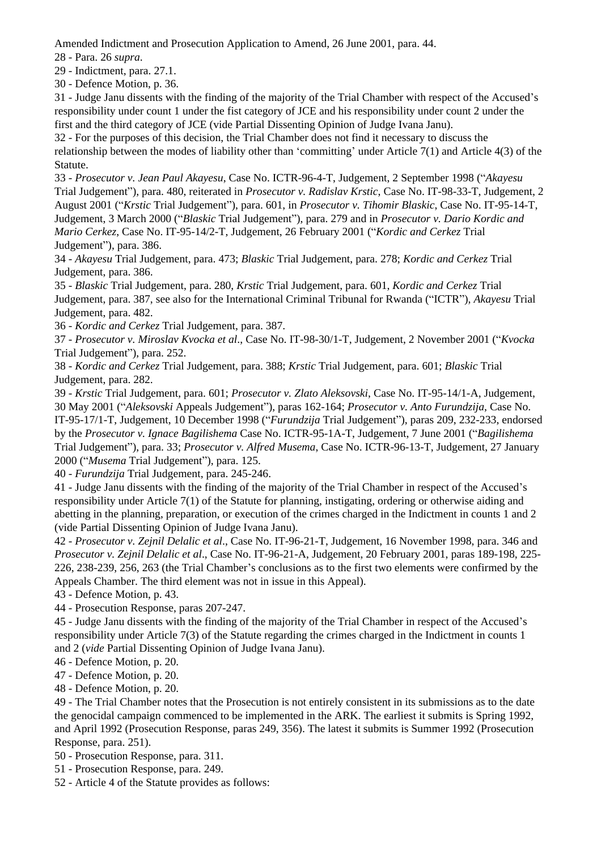Amended Indictment and Prosecution Application to Amend, 26 June 2001, para. 44.

<span id="page-27-0"></span>28 - Para. 26 *supra*.

<span id="page-27-1"></span>29 - Indictment, para. 27.1.

<span id="page-27-2"></span>30 - Defence Motion, p. 36.

<span id="page-27-3"></span>31 - Judge Janu dissents with the finding of the majority of the Trial Chamber with respect of the Accused's responsibility under count 1 under the fist category of JCE and his responsibility under count 2 under the first and the third category of JCE (vide Partial Dissenting Opinion of Judge Ivana Janu).

<span id="page-27-4"></span>32 - For the purposes of this decision, the Trial Chamber does not find it necessary to discuss the relationship between the modes of liability other than 'committing' under Article 7(1) and Article 4(3) of the Statute.

<span id="page-27-5"></span>33 - *Prosecutor v. Jean Paul Akayesu*, Case No. ICTR-96-4-T, Judgement, 2 September 1998 ("*Akayesu* Trial Judgement"), para. 480, reiterated in *Prosecutor v. Radislav Krstic*, Case No. IT-98-33-T, Judgement, 2 August 2001 ("*Krstic* Trial Judgement"), para. 601, in *Prosecutor v. Tihomir Blaskic*, Case No. IT-95-14-T, Judgement, 3 March 2000 ("*Blaskic* Trial Judgement"), para. 279 and in *Prosecutor v. Dario Kordic and Mario Cerkez*, Case No. IT-95-14/2-T, Judgement, 26 February 2001 ("*Kordic and Cerkez* Trial Judgement"), para. 386.

<span id="page-27-6"></span>34 - *Akayesu* Trial Judgement, para. 473; *Blaskic* Trial Judgement, para. 278; *Kordic and Cerkez* Trial Judgement, para. 386.

<span id="page-27-7"></span>35 - *Blaskic* Trial Judgement, para. 280, *Krstic* Trial Judgement, para. 601, *Kordic and Cerkez* Trial Judgement, para. 387, see also for the International Criminal Tribunal for Rwanda ("ICTR"), *Akayesu* Trial Judgement, para. 482.

<span id="page-27-8"></span>36 - *Kordic and Cerkez* Trial Judgement, para. 387.

<span id="page-27-9"></span>37 - *Prosecutor v. Miroslav Kvocka et al*., Case No. IT-98-30/1-T, Judgement, 2 November 2001 ("*Kvocka* Trial Judgement"), para. 252.

<span id="page-27-10"></span>38 - *Kordic and Cerkez* Trial Judgement, para. 388; *Krstic* Trial Judgement, para. 601; *Blaskic* Trial Judgement, para. 282.

<span id="page-27-11"></span>39 - *Krstic* Trial Judgement, para. 601; *Prosecutor v. Zlato Aleksovski*, Case No. IT-95-14/1-A, Judgement, 30 May 2001 ("*Aleksovski* Appeals Judgement"), paras 162-164; *Prosecutor v. Anto Furundzija*, Case No. IT-95-17/1-T, Judgement, 10 December 1998 ("*Furundzija* Trial Judgement"), paras 209, 232-233, endorsed by the *Prosecutor v. Ignace Bagilishema* Case No. ICTR-95-1A-T, Judgement, 7 June 2001 ("*Bagilishema* Trial Judgement"), para. 33; *Prosecutor v. Alfred Musema*, Case No. ICTR-96-13-T, Judgement, 27 January 2000 ("*Musema* Trial Judgement"), para. 125.

<span id="page-27-12"></span>40 - *Furundzija* Trial Judgement, para. 245-246.

<span id="page-27-13"></span>41 - Judge Janu dissents with the finding of the majority of the Trial Chamber in respect of the Accused's responsibility under Article 7(1) of the Statute for planning, instigating, ordering or otherwise aiding and abetting in the planning, preparation, or execution of the crimes charged in the Indictment in counts 1 and 2 (vide Partial Dissenting Opinion of Judge Ivana Janu).

<span id="page-27-14"></span>42 - *Prosecutor v. Zejnil Delalic et al*., Case No. IT-96-21-T, Judgement, 16 November 1998, para. 346 and *Prosecutor v. Zejnil Delalic et al*., Case No. IT-96-21-A, Judgement, 20 February 2001, paras 189-198, 225- 226, 238-239, 256, 263 (the Trial Chamber's conclusions as to the first two elements were confirmed by the Appeals Chamber. The third element was not in issue in this Appeal).

<span id="page-27-15"></span>43 - Defence Motion, p. 43.

<span id="page-27-16"></span>44 - Prosecution Response, paras 207-247.

<span id="page-27-17"></span>45 - Judge Janu dissents with the finding of the majority of the Trial Chamber in respect of the Accused's responsibility under Article 7(3) of the Statute regarding the crimes charged in the Indictment in counts 1 and 2 (*vide* Partial Dissenting Opinion of Judge Ivana Janu).

<span id="page-27-18"></span>46 - Defence Motion, p. 20.

<span id="page-27-19"></span>47 - Defence Motion, p. 20.

<span id="page-27-20"></span>48 - Defence Motion, p. 20.

<span id="page-27-21"></span>49 - The Trial Chamber notes that the Prosecution is not entirely consistent in its submissions as to the date the genocidal campaign commenced to be implemented in the ARK. The earliest it submits is Spring 1992, and April 1992 (Prosecution Response, paras 249, 356). The latest it submits is Summer 1992 (Prosecution Response, para. 251).

<span id="page-27-22"></span>50 - Prosecution Response, para. 311.

<span id="page-27-23"></span>51 - Prosecution Response, para. 249.

<span id="page-27-24"></span>52 - Article 4 of the Statute provides as follows: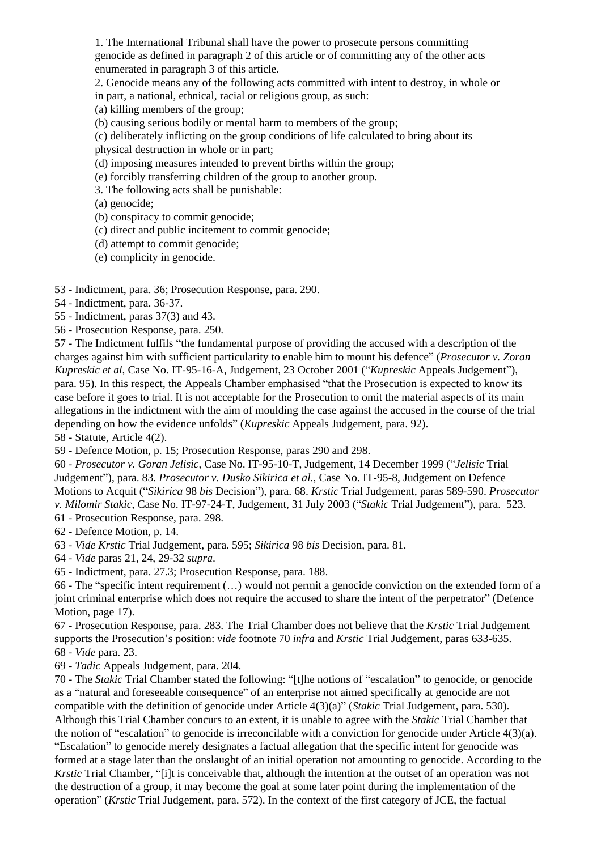1. The International Tribunal shall have the power to prosecute persons committing genocide as defined in paragraph 2 of this article or of committing any of the other acts enumerated in paragraph 3 of this article.

2. Genocide means any of the following acts committed with intent to destroy, in whole or in part, a national, ethnical, racial or religious group, as such:

(a) killing members of the group;

(b) causing serious bodily or mental harm to members of the group;

(c) deliberately inflicting on the group conditions of life calculated to bring about its physical destruction in whole or in part;

(d) imposing measures intended to prevent births within the group;

(e) forcibly transferring children of the group to another group.

3. The following acts shall be punishable:

(a) genocide;

(b) conspiracy to commit genocide;

(c) direct and public incitement to commit genocide;

(d) attempt to commit genocide;

(e) complicity in genocide.

<span id="page-28-0"></span>53 - Indictment, para. 36; Prosecution Response, para. 290.

<span id="page-28-1"></span>54 - Indictment, para. 36-37.

<span id="page-28-2"></span>55 - Indictment, paras 37(3) and 43.

<span id="page-28-3"></span>56 - Prosecution Response, para. 250.

<span id="page-28-4"></span>57 - The Indictment fulfils "the fundamental purpose of providing the accused with a description of the charges against him with sufficient particularity to enable him to mount his defence" (*Prosecutor v. Zoran Kupreskic et al*, Case No. IT-95-16-A, Judgement, 23 October 2001 ("*Kupreskic* Appeals Judgement"), para. 95). In this respect, the Appeals Chamber emphasised "that the Prosecution is expected to know its case before it goes to trial. It is not acceptable for the Prosecution to omit the material aspects of its main allegations in the indictment with the aim of moulding the case against the accused in the course of the trial depending on how the evidence unfolds" (*Kupreskic* Appeals Judgement, para. 92).

<span id="page-28-5"></span>58 - Statute, Article 4(2).

<span id="page-28-6"></span>59 - Defence Motion, p. 15; Prosecution Response, paras 290 and 298.

<span id="page-28-7"></span>60 - *Prosecutor v. Goran Jelisic*, Case No. IT-95-10-T, Judgement, 14 December 1999 ("*Jelisic* Trial Judgement"), para. 83. *Prosecutor v. Dusko Sikirica et al.*, Case No. IT-95-8, Judgement on Defence Motions to Acquit ("*Sikirica* 98 *bis* Decision"), para. 68. *Krstic* Trial Judgement, paras 589-590. *Prosecutor v. Milomir Stakic*, Case No. IT-97-24-T, Judgement, 31 July 2003 ("*Stakic* Trial Judgement"), para. 523.

<span id="page-28-8"></span>61 - Prosecution Response, para. 298.

<span id="page-28-9"></span>62 - Defence Motion, p. 14.

<span id="page-28-10"></span>63 - *Vide Krstic* Trial Judgement, para. 595; *Sikirica* 98 *bis* Decision, para. 81.

<span id="page-28-11"></span>64 - *Vide* paras 21, 24, 29-32 *supra*.

<span id="page-28-12"></span>65 - Indictment, para. 27.3; Prosecution Response, para. 188.

<span id="page-28-13"></span>66 - The "specific intent requirement (…) would not permit a genocide conviction on the extended form of a joint criminal enterprise which does not require the accused to share the intent of the perpetrator" (Defence Motion, page 17).

<span id="page-28-14"></span>67 - Prosecution Response, para. 283. The Trial Chamber does not believe that the *Krstic* Trial Judgement supports the Prosecution's position: *vide* footnote 70 *infra* and *Krstic* Trial Judgement, paras 633-635. 68 - *Vide* para. 23.

<span id="page-28-16"></span><span id="page-28-15"></span>69 - *Tadic* Appeals Judgement, para. 204.

<span id="page-28-17"></span>70 - The *Stakic* Trial Chamber stated the following: "[t]he notions of "escalation" to genocide, or genocide as a "natural and foreseeable consequence" of an enterprise not aimed specifically at genocide are not compatible with the definition of genocide under Article 4(3)(a)" (*Stakic* Trial Judgement, para. 530). Although this Trial Chamber concurs to an extent, it is unable to agree with the *Stakic* Trial Chamber that the notion of "escalation" to genocide is irreconcilable with a conviction for genocide under Article 4(3)(a). "Escalation" to genocide merely designates a factual allegation that the specific intent for genocide was formed at a stage later than the onslaught of an initial operation not amounting to genocide. According to the *Krstic* Trial Chamber, "[i]t is conceivable that, although the intention at the outset of an operation was not the destruction of a group, it may become the goal at some later point during the implementation of the operation" (*Krstic* Trial Judgement, para. 572). In the context of the first category of JCE, the factual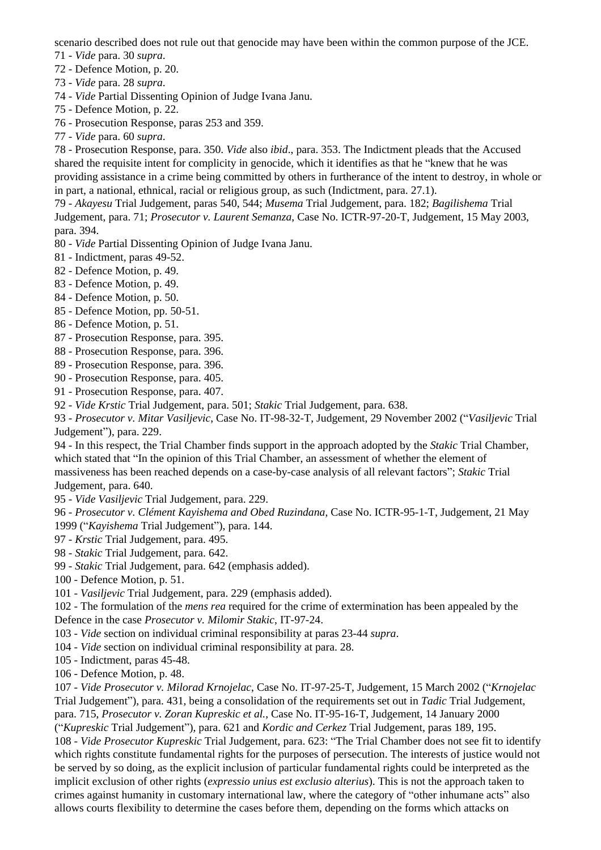scenario described does not rule out that genocide may have been within the common purpose of the JCE.

<span id="page-29-0"></span>71 - *Vide* para. 30 *supra*.

- <span id="page-29-1"></span>72 - Defence Motion, p. 20.
- <span id="page-29-2"></span>73 - *Vide* para. 28 *supra*.
- <span id="page-29-3"></span>74 - *Vide* Partial Dissenting Opinion of Judge Ivana Janu.
- <span id="page-29-4"></span>75 - Defence Motion, p. 22.
- <span id="page-29-5"></span>76 - Prosecution Response, paras 253 and 359.
- <span id="page-29-6"></span>77 - *Vide* para. 60 *supra*.

<span id="page-29-7"></span>78 - Prosecution Response, para. 350. *Vide* also *ibid*., para. 353. The Indictment pleads that the Accused shared the requisite intent for complicity in genocide, which it identifies as that he "knew that he was providing assistance in a crime being committed by others in furtherance of the intent to destroy, in whole or in part, a national, ethnical, racial or religious group, as such (Indictment, para. 27.1).

<span id="page-29-8"></span>79 - *Akayesu* Trial Judgement, paras 540, 544; *Musema* Trial Judgement, para. 182; *Bagilishema* Trial Judgement, para. 71; *Prosecutor v. Laurent Semanza*, Case No. ICTR-97-20-T, Judgement, 15 May 2003, para. 394.

- <span id="page-29-9"></span>80 - *Vide* Partial Dissenting Opinion of Judge Ivana Janu.
- <span id="page-29-10"></span>81 - Indictment, paras 49-52.
- <span id="page-29-11"></span>82 - Defence Motion, p. 49.
- <span id="page-29-12"></span>83 - Defence Motion, p. 49.
- <span id="page-29-13"></span>84 - Defence Motion, p. 50.
- <span id="page-29-14"></span>85 - Defence Motion, pp. 50-51.
- <span id="page-29-15"></span>86 - Defence Motion, p. 51.
- <span id="page-29-16"></span>87 - Prosecution Response, para. 395.
- <span id="page-29-17"></span>88 - Prosecution Response, para. 396.
- <span id="page-29-18"></span>89 - Prosecution Response, para. 396.
- <span id="page-29-19"></span>90 - Prosecution Response, para. 405.
- <span id="page-29-20"></span>91 - Prosecution Response, para. 407.

<span id="page-29-21"></span>92 - *Vide Krstic* Trial Judgement, para. 501; *Stakic* Trial Judgement, para. 638.

<span id="page-29-22"></span>93 - *Prosecutor v. Mitar Vasiljevic*, Case No. IT-98-32-T, Judgement, 29 November 2002 ("*Vasiljevic* Trial Judgement"), para. 229.

<span id="page-29-23"></span>94 - In this respect, the Trial Chamber finds support in the approach adopted by the *Stakic* Trial Chamber, which stated that "In the opinion of this Trial Chamber, an assessment of whether the element of massiveness has been reached depends on a case-by-case analysis of all relevant factors"; *Stakic* Trial Judgement, para. 640.

<span id="page-29-24"></span>95 - *Vide Vasiljevic* Trial Judgement, para. 229.

<span id="page-29-25"></span>96 - *Prosecutor v. Clément Kayishema and Obed Ruzindana*, Case No. ICTR-95-1-T, Judgement, 21 May 1999 ("*Kayishema* Trial Judgement"), para. 144.

- <span id="page-29-26"></span>97 - *Krstic* Trial Judgement, para. 495.
- <span id="page-29-27"></span>98 - *Stakic* Trial Judgement, para. 642.
- <span id="page-29-29"></span><span id="page-29-28"></span>99 - *Stakic* Trial Judgement, para. 642 (emphasis added).
- 100 Defence Motion, p. 51.
- <span id="page-29-30"></span>101 - *Vasiljevic* Trial Judgement, para. 229 (emphasis added).

<span id="page-29-31"></span>102 - The formulation of the *mens rea* required for the crime of extermination has been appealed by the Defence in the case *Prosecutor v. Milomir Stakic*, IT-97-24.

<span id="page-29-32"></span>103 - *Vide* section on individual criminal responsibility at paras 23-44 *supra*.

<span id="page-29-33"></span>104 - *Vide* section on individual criminal responsibility at para. 28.

<span id="page-29-34"></span>105 - Indictment, paras 45-48.

<span id="page-29-35"></span>106 - Defence Motion, p. 48.

<span id="page-29-37"></span><span id="page-29-36"></span>107 - *Vide Prosecutor v. Milorad Krnojelac*, Case No. IT-97-25-T, Judgement, 15 March 2002 ("*Krnojelac* Trial Judgement"), para. 431, being a consolidation of the requirements set out in *Tadic* Trial Judgement, para. 715, *Prosecutor v. Zoran Kupreskic et al.*, Case No. IT-95-16-T, Judgement, 14 January 2000 ("*Kupreskic* Trial Judgement"), para. 621 and *Kordic and Cerkez* Trial Judgement, paras 189, 195. 108 - *Vide Prosecutor Kupreskic* Trial Judgement, para. 623: "The Trial Chamber does not see fit to identify which rights constitute fundamental rights for the purposes of persecution. The interests of justice would not be served by so doing, as the explicit inclusion of particular fundamental rights could be interpreted as the implicit exclusion of other rights (*expressio unius est exclusio alterius*). This is not the approach taken to crimes against humanity in customary international law, where the category of "other inhumane acts" also allows courts flexibility to determine the cases before them, depending on the forms which attacks on